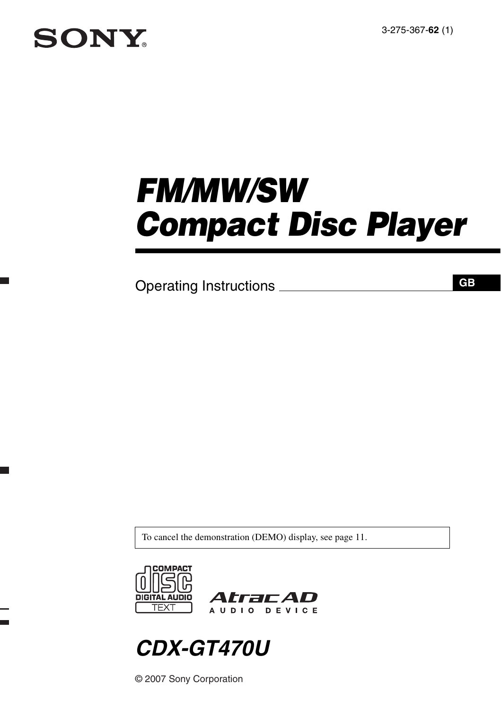3-275-367-**62** (1)

# **SONY**

e.

an<br>Ma

# *FM/MW/SW Compact Disc Player*

Operating Instructions

**GB**

To cancel the demonstration (DEMO) display, see [page 11.](#page-10-0)



## *CDX-GT470U*

© 2007 Sony Corporation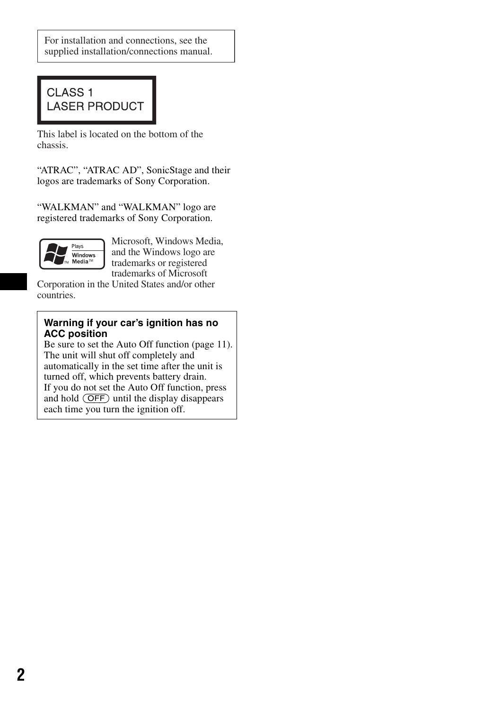For installation and connections, see the supplied installation/connections manual.

## CLASS<sub>1</sub> **LASER PRODUCT**

This label is located on the bottom of the chassis.

"ATRAC", "ATRAC AD", SonicStage and their logos are trademarks of Sony Corporation.

"WALKMAN" and "WALKMAN" logo are registered trademarks of Sony Corporation.



Microsoft, Windows Media, and the Windows logo are trademarks or registered trademarks of Microsoft

Corporation in the United States and/or other countries.

## **Warning if your car's ignition has no ACC position**

Be sure to set the Auto Off function ([page 11](#page-10-1)). The unit will shut off completely and automatically in the set time after the unit is turned off, which prevents battery drain. If you do not set the Auto Off function, press and hold (OFF) until the display disappears each time you turn the ignition off.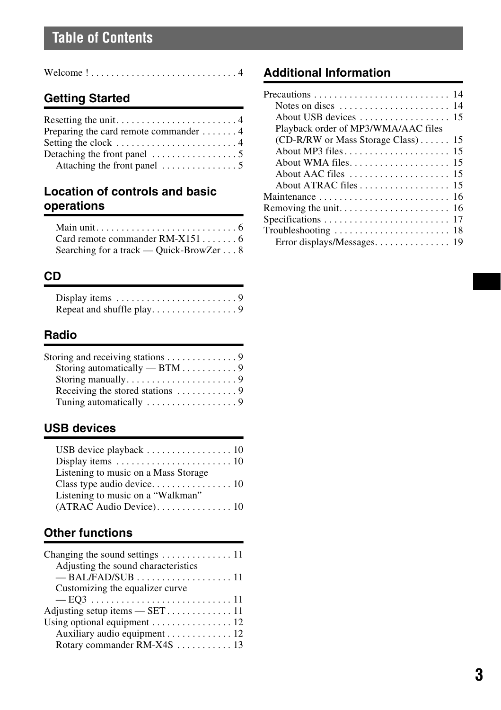## **Table of Contents**

| Welcome $! \ldots \ldots \ldots \ldots \ldots \ldots \ldots \ldots$ |  |  |  |  |  |  |  |  |  |  |  |  |  |  |  |  |  |  |  |  |  |  |  |  |  |  |  |  |  |  |  |  |
|---------------------------------------------------------------------|--|--|--|--|--|--|--|--|--|--|--|--|--|--|--|--|--|--|--|--|--|--|--|--|--|--|--|--|--|--|--|--|
|---------------------------------------------------------------------|--|--|--|--|--|--|--|--|--|--|--|--|--|--|--|--|--|--|--|--|--|--|--|--|--|--|--|--|--|--|--|--|

## **[Getting Started](#page-3-1)**

| Preparing the card remote commander $\dots \dots$      |
|--------------------------------------------------------|
|                                                        |
| Detaching the front panel $\dots\dots\dots\dots\dots5$ |
|                                                        |

## **[Location of controls and basic](#page-5-0)  operations**

| Card remote commander $RM-X151$         |  |
|-----------------------------------------|--|
| Searching for a track — Quick-BrowZer 8 |  |

## **[CD](#page-8-0)**

| Display items $\ldots \ldots \ldots \ldots \ldots \ldots$ |  |  |  |  |  |  |  |  |
|-----------------------------------------------------------|--|--|--|--|--|--|--|--|
|                                                           |  |  |  |  |  |  |  |  |

## **[Radio](#page-8-3)**

| Storing and receiving stations $\dots \dots \dots \dots$ |  |
|----------------------------------------------------------|--|
| Storing automatically $-$ BTM 9                          |  |
|                                                          |  |
| Receiving the stored stations $\dots \dots \dots$        |  |
|                                                          |  |

## **[USB devices](#page-9-0)**

| USB device playback $\dots \dots \dots \dots \dots \dots \dots 10$ |
|--------------------------------------------------------------------|
|                                                                    |
| Listening to music on a Mass Storage                               |
|                                                                    |
| Listening to music on a "Walkman"                                  |
|                                                                    |

## **[Other functions](#page-10-2)**

| Changing the sound settings $\dots \dots \dots \dots \dots 11$ |
|----------------------------------------------------------------|
| Adjusting the sound characteristics                            |
| $-BAL/FAD/SUB$ 11                                              |
| Customizing the equalizer curve                                |
|                                                                |
|                                                                |
| Using optional equipment $\dots \dots \dots \dots \dots 12$    |
| Auxiliary audio equipment 12                                   |
| Rotary commander RM-X4S  13                                    |

## **[Additional Information](#page-13-0)**

| Notes on discs $\dots \dots \dots \dots \dots \dots \dots \dots 14$ |
|---------------------------------------------------------------------|
|                                                                     |
| Playback order of MP3/WMA/AAC files                                 |
| $(CD-R/RW)$ or Mass Storage Class) 15                               |
|                                                                     |
|                                                                     |
|                                                                     |
|                                                                     |
|                                                                     |
|                                                                     |
|                                                                     |
|                                                                     |
|                                                                     |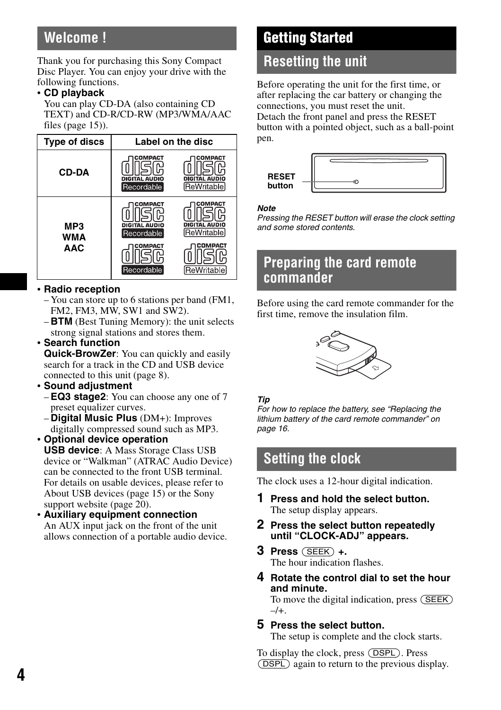## <span id="page-3-0"></span>**Welcome !**

Thank you for purchasing this Sony Compact Disc Player. You can enjoy your drive with the following functions.

## • **CD playback**

You can play CD-DA (also containing CD TEXT) and CD-R/CD-RW (MP3/WMA/AAC files [\(page 15\)](#page-14-2)).

| <b>Type of discs</b>     | Label on the disc                                               |                                                                 |  |  |  |  |  |  |  |
|--------------------------|-----------------------------------------------------------------|-----------------------------------------------------------------|--|--|--|--|--|--|--|
| <b>CD-DA</b>             | COMPACT<br>DIGITAL AUDIO<br>Recordable                          | COMPACT<br>DIGITAL AUDIO<br>ReWritable                          |  |  |  |  |  |  |  |
| MP3<br>WMA<br><b>AAC</b> | COMPACT<br>DIGITAL AUDIO<br>Recordable<br>COMPACT<br>Recordable | COMPACT<br>DIGITAL AUDIO<br>ReWritable<br>COMPACT<br>ReWritable |  |  |  |  |  |  |  |

## • **Radio reception**

- You can store up to 6 stations per band (FM1, FM2, FM3, MW, SW1 and SW2).
- **BTM** (Best Tuning Memory): the unit selects strong signal stations and stores them.

## • **Search function**

**Quick-BrowZer**: You can quickly and easily search for a track in the CD and USB device connected to this unit ([page 8](#page-7-0)).

## • **Sound adjustment**

- **EQ3 stage2**: You can choose any one of 7 preset equalizer curves.
- <span id="page-3-5"></span>– **Digital Music Plus** (DM+): Improves digitally compressed sound such as MP3.

## • **Optional device operation**

**USB device**: A Mass Storage Class USB device or "Walkman" (ATRAC Audio Device) can be connected to the front USB terminal. For details on usable devices, please refer to About USB devices ([page 15\)](#page-14-0) or the Sony support website [\(page 20](#page-19-0)).

• **Auxiliary equipment connection** An AUX input jack on the front of the unit allows connection of a portable audio device.

## <span id="page-3-1"></span>**Getting Started**

## <span id="page-3-2"></span>**Resetting the unit**

Before operating the unit for the first time, or after replacing the car battery or changing the connections, you must reset the unit.

Detach the front panel and press the RESET button with a pointed object, such as a ball-point pen.

| <b>RESET</b> |  |
|--------------|--|
| button       |  |

### *Note*

*Pressing the RESET button will erase the clock setting and some stored contents.*

## <span id="page-3-3"></span>**Preparing the card remote commander**

Before using the card remote commander for the first time, remove the insulation film.



## *Tip*

*For how to replace the battery, see "Replacing the lithium battery of the card remote commander" on [page 16.](#page-15-0)*

## <span id="page-3-4"></span>**Setting the clock**

The clock uses a 12-hour digital indication.

- **1 Press and hold the select button.** The setup display appears.
- **2 Press the select button repeatedly until "CLOCK-ADJ" appears.**
- **3 Press** (SEEK) **+.** The hour indication flashes.
- **4 Rotate the control dial to set the hour and minute.** To move the digital indication, press (SEEK)  $-/+$ .
- **5 Press the select button.** The setup is complete and the clock starts.

To display the clock, press (DSPL). Press (DSPL) again to return to the previous display.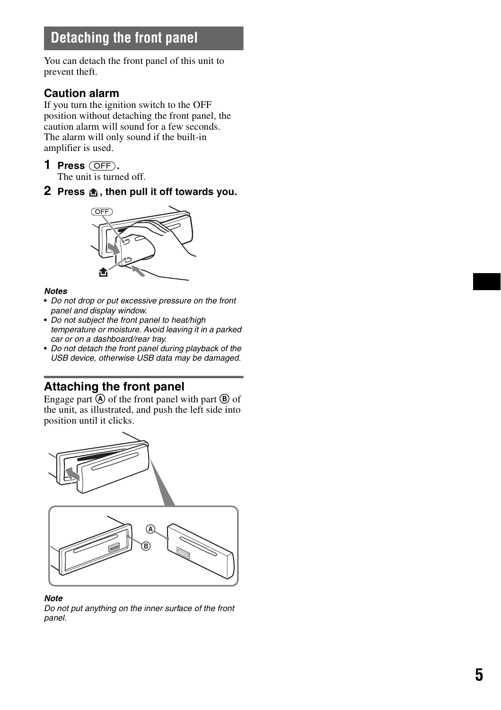## <span id="page-4-0"></span>**Detaching the front panel**

You can detach the front panel of this unit to prevent theft.

## **Caution alarm**

If you turn the ignition switch to the OFF position without detaching the front panel, the caution alarm will sound for a few seconds. The alarm will only sound if the built-in amplifier is used.

- **1 Press** (OFF)**.** The unit is turned off.
- <span id="page-4-2"></span>**2** Press  $\hat{m}$ , then pull it off towards you.



## *Notes*

- *Do not drop or put excessive pressure on the front panel and display window.*
- *Do not subject the front panel to heat/high temperature or moisture. Avoid leaving it in a parked car or on a dashboard/rear tray.*
- *Do not detach the front panel during playback of the USB device, otherwise USB data may be damaged.*

## <span id="page-4-1"></span>**Attaching the front panel**

Engage part  $\overline{A}$  of the front panel with part  $\overline{B}$  of the unit, as illustrated, and push the left side into position until it clicks.



*Note*

*Do not put anything on the inner surface of the front panel.*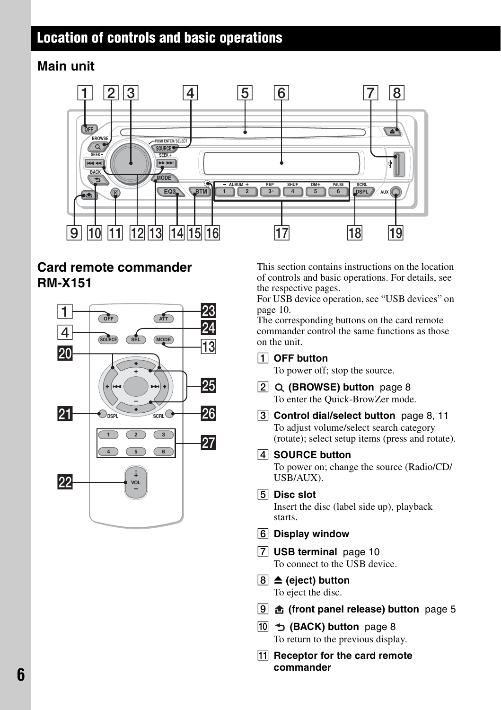## <span id="page-5-0"></span>**Location of controls and basic operations**

## <span id="page-5-1"></span>**Main unit**



## <span id="page-5-2"></span>**Card remote commander RM-X151**



This section contains instructions on the location of controls and basic operations. For details, see the respective pages.

For USB device operation, [see "USB devices" on](#page-9-0)  [page 10](#page-9-0).

The corresponding buttons on the card remote commander control the same functions as those on the unit.

A **OFF button**

To power off; stop the source.

- B **(BROWSE) button** [page 8](#page-7-0) To enter the Quick-BrowZer mode.
- **3** Control dial/select button [page 8](#page-7-2), [11](#page-10-7) To adjust volume/select search category (rotate); select setup items (press and rotate).
- **A** SOURCE button

To power on; change the source (Radio/CD/ USB/AUX).

- **E** Disc slot Insert the disc (label side up), playback starts.
- **6** Display window
- G **USB terminal** [page 10](#page-9-0) To connect to the USB device.
- **B**  $\triangleq$  (eject) button To eject the disc.
- **<u><b>9**</u> **d** (front panel release) button [page 5](#page-4-2)
- **10**  $\div$  **(BACK) button** [page 8](#page-7-1) To return to the previous display.
- **Receptor for the card remote commander**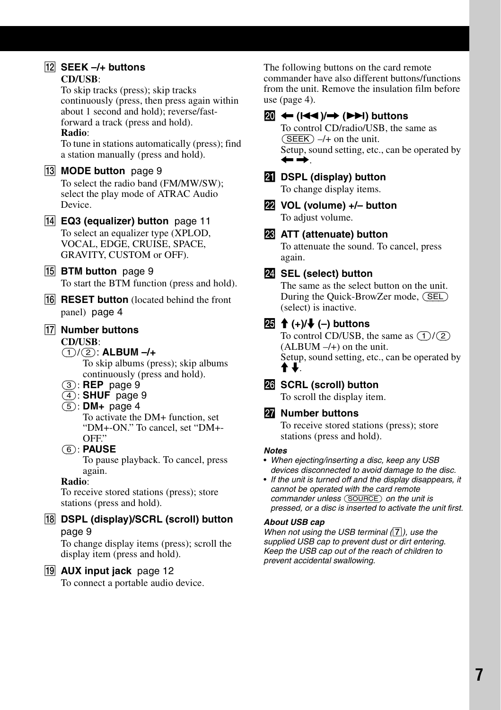### 12 SEEK -/+ buttons **CD/USB**:

To skip tracks (press); skip tracks continuously (press, then press again within about 1 second and hold); reverse/fastforward a track (press and hold). **Radio**:

To tune in stations automatically (press); find a station manually (press and hold).

## **13 MODE button** [page 9](#page-8-11)

To select the radio band (FM/MW/SW); select the play mode of ATRAC Audio Device.

N **EQ3 (equalizer) button** [page 11](#page-10-8) To select an equalizer type (XPLOD, VOCAL, EDGE, CRUISE, SPACE, GRAVITY, CUSTOM or OFF).

## **15 BTM button** [page 9](#page-8-12)

To start the BTM function (press and hold).

**RESET button** (located behind the front panel)[page 4](#page-3-2)

## Q **Number buttons**

**CD/USB**:

## (1)/(2): **ALBUM –/+**

To skip albums (press); skip albums continuously (press and hold).

- (3): **REP** [page 9](#page-8-10)
- (4): **SHUF** [page 9](#page-8-10)
- (5): **DM+** [page 4](#page-3-5)

To activate the DM+ function, set "DM+-ON." To cancel, set "DM+- OFF"

## (6): **PAUSE**

To pause playback. To cancel, press again.

## **Radio**:

To receive stored stations (press); store stations (press and hold).

**R DSPL (display)/SCRL (scroll) button** [page 9](#page-8-9)

To change display items (press); scroll the display item (press and hold).

## **19 AUX input jack** [page 12](#page-11-1)

To connect a portable audio device.

The following buttons on the card remote commander have also different buttons/functions from the unit. Remove the insulation film before use [\(page 4\)](#page-3-3).

## **W**  $\leftarrow$  (**I** $\leftarrow$  (**I** $\leftarrow$  (**D)**) buttons

To control CD/radio/USB, the same as  $(SEEK)$  –/+ on the unit. Setup, sound setting, etc., can be operated by  $\leftarrow$   $\rightarrow$  .

## **21** DSPL (display) button

To change display items.

ws **VOL (volume) +/– button** To adjust volume.

## **W** ATT (attenuate) button

To attenuate the sound. To cancel, press again.

## **W** SEL (select) button

The same as the select button on the unit. During the Quick-BrowZer mode, (SEL) (select) is inactive.

## **20** <del>1</del> (+)/ ↓ (-) buttons

To control CD/USB, the same as  $(1)/(2)$  $(ALBUM -/+)$  on the unit. Setup, sound setting, etc., can be operated by  $\ddagger$   $\ddagger$  .

## **WE SCRL (scroll) button**

To scroll the display item.

## **27** Number buttons

To receive stored stations (press); store stations (press and hold).

## *Notes*

- *When ejecting/inserting a disc, keep any USB devices disconnected to avoid damage to the disc.*
- *If the unit is turned off and the display disappears, it cannot be operated with the card remote commander unless* (SOURCE) *on the unit is pressed, or a disc is inserted to activate the unit first.*

## *About USB cap*

*When not using the USB terminal (*G*), use the supplied USB cap to prevent dust or dirt entering. Keep the USB cap out of the reach of children to prevent accidental swallowing.*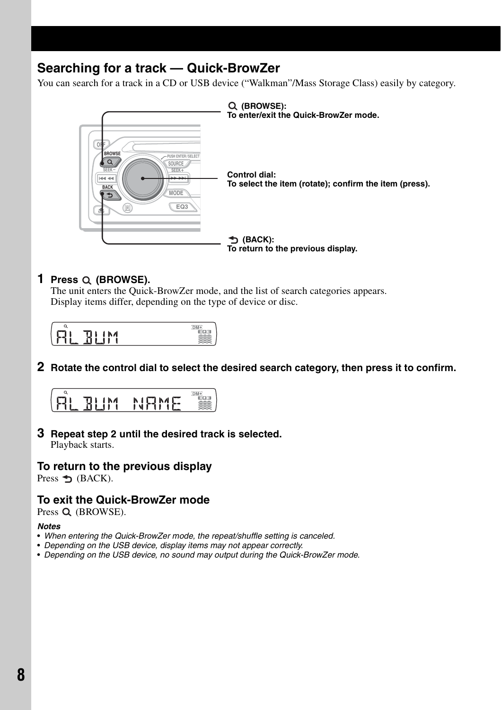## <span id="page-7-0"></span>**Searching for a track — Quick-BrowZer**

You can search for a track in a CD or USB device ("Walkman"/Mass Storage Class) easily by category.



## **1 Press (BROWSE).**

The unit enters the Quick-BrowZer mode, and the list of search categories appears. Display items differ, depending on the type of device or disc.



## <span id="page-7-2"></span>**2 Rotate the control dial to select the desired search category, then press it to confirm.**



## **3 Repeat step 2 until the desired track is selected.**

Playback starts.

## **To return to the previous display**

<span id="page-7-1"></span>Press  $\triangle$  (BACK).

## **To exit the Quick-BrowZer mode**

Press Q (BROWSE).

### *Notes*

- *When entering the Quick-BrowZer mode, the repeat/shuffle setting is canceled.*
- *Depending on the USB device, display items may not appear correctly.*
- *Depending on the USB device, no sound may output during the Quick-BrowZer mode.*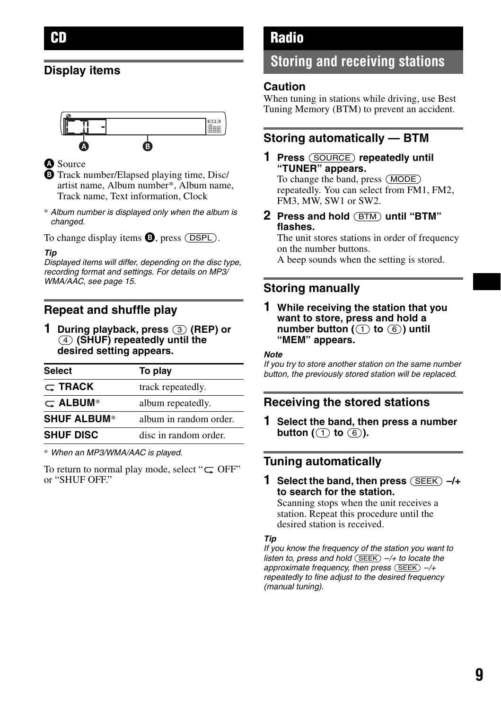## <span id="page-8-1"></span><span id="page-8-0"></span>**Display items**



### **A** Source

 $\bullet$  Track number/Elapsed playing time, Disc/ artist name, Album number\*, Album name, Track name, Text information, Clock

\* *Album number is displayed only when the album is changed.*

<span id="page-8-9"></span>To change display items  $\mathbf{\Theta}$ , press ( $\overline{\text{DSPL}}$ ).

### *Tip*

*Displayed items will differ, depending on the disc type, recording format and settings. For details on MP3/ WMA/AAC, see [page 15](#page-14-2).*

## <span id="page-8-2"></span>**Repeat and shuffle play**

<span id="page-8-10"></span>**1 During playback, press** (3) **(REP) or**  (4) **(SHUF) repeatedly until the desired setting appears.**

| <b>Select</b>      | To play                |
|--------------------|------------------------|
| $\subset$ TRACK    | track repeatedly.      |
| $\subset$ ALBUM*   | album repeatedly.      |
| <b>SHUF ALBUM*</b> | album in random order. |
| <b>SHUF DISC</b>   | disc in random order.  |

\* *When an MP3/WMA/AAC is played.*

To return to normal play mode, select " $\subset \text{OFF}$ " or "SHUF OFF."

## <span id="page-8-3"></span>**Radio**

## <span id="page-8-4"></span>**Storing and receiving stations**

## **Caution**

When tuning in stations while driving, use Best Tuning Memory (BTM) to prevent an accident.

## <span id="page-8-5"></span>**Storing automatically — BTM**

## <span id="page-8-11"></span>**1 Press** (SOURCE) **repeatedly until "TUNER" appears.**

To change the band, press (MODE) repeatedly. You can select from FM1, FM2, FM3, MW, SW1 or SW2.

<span id="page-8-12"></span>**2 Press and hold** (BTM) **until "BTM" flashes.**

The unit stores stations in order of frequency on the number buttons.

A beep sounds when the setting is stored.

## <span id="page-8-6"></span>**Storing manually**

**1 While receiving the station that you want to store, press and hold a number button (**(1) **to** (6)**) until "MEM" appears.**

### *Note*

*If you try to store another station on the same number button, the previously stored station will be replaced.*

## <span id="page-8-7"></span>**Receiving the stored stations**

**1 Select the band, then press a number button**  $(\textcircled{\frown}$  to  $\textcircled{\frown}$ ).

## <span id="page-8-8"></span>**Tuning automatically**

**1 Select the band, then press** (SEEK) **–/+ to search for the station.**

Scanning stops when the unit receives a station. Repeat this procedure until the desired station is received.

### *Tip*

*If you know the frequency of the station you want to listen to, press and hold* (SEEK) –*/+ to locate the approximate frequency, then press* (SEEK) –*/+ repeatedly to fine adjust to the desired frequency (manual tuning).*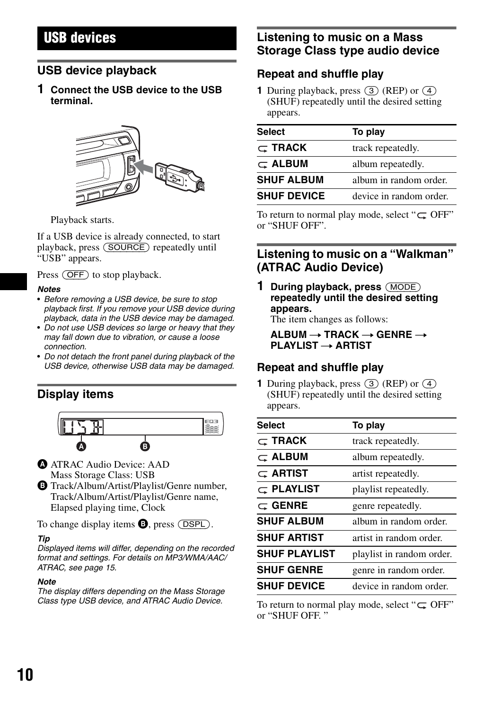## <span id="page-9-0"></span>**USB devices**

## <span id="page-9-1"></span>**USB device playback**

**1 Connect the USB device to the USB terminal.**



Playback starts.

If a USB device is already connected, to start playback, press (SOURCE) repeatedly until "USB" appears.

Press (OFF) to stop playback.

### *Notes*

- *Before removing a USB device, be sure to stop playback first. If you remove your USB device during playback, data in the USB device may be damaged.*
- *Do not use USB devices so large or heavy that they may fall down due to vibration, or cause a loose connection.*
- *Do not detach the front panel during playback of the USB device, otherwise USB data may be damaged.*

## <span id="page-9-2"></span>**Display items**



- **A ATRAC Audio Device: AAD** Mass Storage Class: USB
- B Track/Album/Artist/Playlist/Genre number, Track/Album/Artist/Playlist/Genre name, Elapsed playing time, Clock

To change display items  $\bullet$ , press (DSPL).

### *Tip*

*Displayed items will differ, depending on the recorded format and settings. For details on MP3/WMA/AAC/ ATRAC, see [page 15.](#page-14-2)*

### *Note*

*The display differs depending on the Mass Storage Class type USB device, and ATRAC Audio Device.*

## <span id="page-9-3"></span>**Listening to music on a Mass Storage Class type audio device**

## **Repeat and shuffle play**

**1** During playback, press  $\overline{(3)}$  (REP) or  $\overline{(4)}$ (SHUF) repeatedly until the desired setting appears.

| <b>Select</b>      | To play                 |
|--------------------|-------------------------|
| $\subset$ TRACK    | track repeatedly.       |
| $\subset$ ALBUM    | album repeatedly.       |
| <b>SHUF ALBUM</b>  | album in random order.  |
| <b>SHUF DEVICE</b> | device in random order. |

To return to normal play mode, select " $\subseteq$  OFF" or "SHUF OFF".

## <span id="page-9-4"></span>**Listening to music on a "Walkman" (ATRAC Audio Device)**

**1 During playback, press** (MODE) **repeatedly until the desired setting appears.**

The item changes as follows:

 $ALBUM \rightarrow TRACK \rightarrow GENRE \rightarrow$ **PLAYLIST**  $\rightarrow$  **ARTIST** 

## **Repeat and shuffle play**

**1** During playback, press (3) (REP) or (4) (SHUF) repeatedly until the desired setting appears.

| <b>Select</b>        | To play                   |
|----------------------|---------------------------|
| $\subset$ TRACK      | track repeatedly.         |
| $\subset$ ALBUM      | album repeatedly.         |
| $\subset$ Artist     | artist repeatedly.        |
| $\subset$ playlist   | playlist repeatedly.      |
| $\subset$ GENRE      | genre repeatedly.         |
| <b>SHUF ALBUM</b>    | album in random order.    |
| <b>SHUF ARTIST</b>   | artist in random order.   |
| <b>SHUF PLAYLIST</b> | playlist in random order. |
| <b>SHUF GENRE</b>    | genre in random order.    |
| <b>SHUF DEVICE</b>   | device in random order.   |

To return to normal play mode, select " $\subseteq$  OFF" or "SHUF OFF. "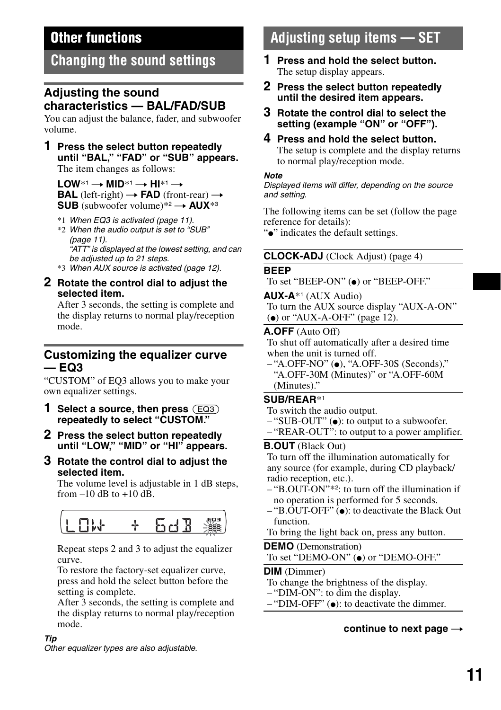## <span id="page-10-2"></span>**Other functions**

## <span id="page-10-3"></span>**Changing the sound settings**

## <span id="page-10-4"></span>**Adjusting the sound characteristics — BAL/FAD/SUB**

You can adjust the balance, fader, and subwoofer volume.

### **1 Press the select button repeatedly until "BAL," "FAD" or "SUB" appears.** The item changes as follows:

 $LOW^{*1} \rightarrow MID^{*1} \rightarrow HI^{*1} \rightarrow$ **BAL** (left-right)  $\rightarrow$  **FAD** (front-rear)  $\rightarrow$ **SUB** (subwoofer volume)\*2  $\rightarrow$  **AUX**\*3

- \*1 *When EQ3 is activated [\(page 11\)](#page-10-5).*
- \*2 *When the audio output is set to "SUB" [\(page 11\)](#page-10-9). "ATT" is displayed at the lowest setting, and can be adjusted up to 21 steps.*
- \*3 *When AUX source is activated [\(page 12](#page-11-1)).*
- <span id="page-10-7"></span>**2 Rotate the control dial to adjust the selected item.**

After 3 seconds, the setting is complete and the display returns to normal play/reception mode.

## <span id="page-10-5"></span>**Customizing the equalizer curve — EQ3**

"CUSTOM" of EQ3 allows you to make your own equalizer settings.

- <span id="page-10-8"></span>**1 Select a source, then press** (EQ3) **repeatedly to select "CUSTOM."**
- **2 Press the select button repeatedly until "LOW," "MID" or "HI" appears.**
- **3 Rotate the control dial to adjust the selected item.**

The volume level is adjustable in 1 dB steps, from  $-10$  dB to  $+10$  dB.



Repeat steps 2 and 3 to adjust the equalizer curve.

To restore the factory-set equalizer curve, press and hold the select button before the setting is complete.

After 3 seconds, the setting is complete and the display returns to normal play/reception mode.

### *Tip*

*Other equalizer types are also adjustable.*

## <span id="page-10-6"></span>**Adjusting setup items — SET**

- **1 Press and hold the select button.** The setup display appears.
- **2 Press the select button repeatedly until the desired item appears.**
- **3 Rotate the control dial to select the setting (example "ON" or "OFF").**
- **4 Press and hold the select button.** The setup is complete and the display returns to normal play/reception mode.

### *Note*

*Displayed items will differ, depending on the source and setting.*

The following items can be set (follow the page reference for details):

"•" indicates the default settings.

## **CLOCK-ADJ** (Clock Adjust) [\(page 4\)](#page-3-4)

## <span id="page-10-11"></span>**BEEP**

To set "BEEP-ON" ( $\bullet$ ) or "BEEP-OFF."

### **AUX-A**\*1 (AUX Audio)

To turn the AUX source display "AUX-A-ON"  $\bullet$  or "AUX-A-OFF" ([page 12](#page-11-1)).

## <span id="page-10-1"></span>**A.OFF** (Auto Off)

To shut off automatically after a desired time when the unit is turned off.

– "A.OFF-NO" (●), "A.OFF-30S (Seconds)," "A.OFF-30M (Minutes)" or "A.OFF-60M (Minutes)."

## <span id="page-10-9"></span>**SUB/REAR**\*<sup>1</sup>

- To switch the audio output.
- $-$  "SUB-OUT" ( $\bullet$ ): to output to a subwoofer.
- "REAR-OUT": to output to a power amplifier.

## <span id="page-10-13"></span>**B.OUT** (Black Out)

To turn off the illumination automatically for any source (for example, during CD playback/ radio reception, etc.).

- "B.OUT-ON"\*2: to turn off the illumination if no operation is performed for 5 seconds.
- $-$  "B.OUT-OFF" ( $\bullet$ ): to deactivate the Black Out function.

## <span id="page-10-0"></span>To bring the light back on, press any button.

<span id="page-10-10"></span>**DEMO** (Demonstration) To set "DEMO-ON" ( $\bullet$ ) or "DEMO-OFF."

## <span id="page-10-12"></span>**DIM** (Dimmer)

To change the brightness of the display.

- "DIM-ON": to dim the display.
- $-$  "DIM-OFF" ( $\bullet$ ): to deactivate the dimmer.

## continue to next page  $\rightarrow$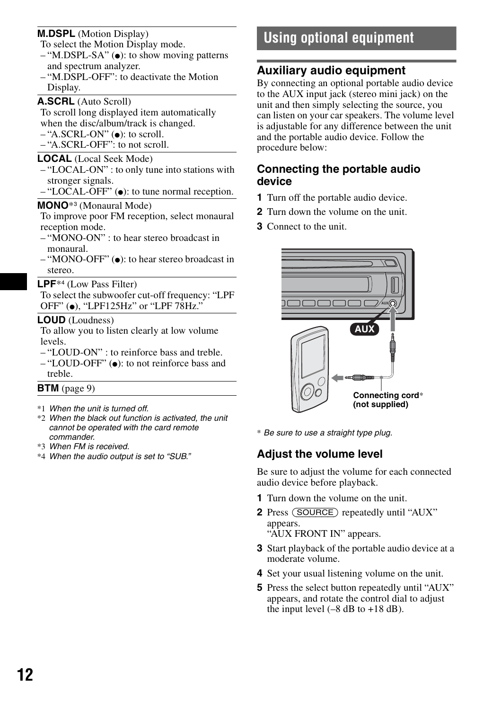## **M.DSPL** (Motion Display)

To select the Motion Display mode.

- $-$  "M.DSPL-SA" ( $\bullet$ ): to show moving patterns and spectrum analyzer.
- "M.DSPL-OFF": to deactivate the Motion Display.

## <span id="page-11-4"></span>**A.SCRL** (Auto Scroll)

To scroll long displayed item automatically when the disc/album/track is changed.

- $-$  "A.SCRL-ON" ( $\bullet$ ): to scroll.
- "A.SCRL-OFF": to not scroll.

### <span id="page-11-2"></span>**LOCAL** (Local Seek Mode)

- "LOCAL-ON" : to only tune into stations with stronger signals.
- $-$  "LOCAL-OFF" ( $\bullet$ ): to tune normal reception.

## <span id="page-11-3"></span>**MONO**\*3 (Monaural Mode)

To improve poor FM reception, select monaural reception mode.

- "MONO-ON" : to hear stereo broadcast in monaural.
- $-$  "MONO-OFF" ( $\bullet$ ): to hear stereo broadcast in stereo.

### **LPF**\*4 (Low Pass Filter)

To select the subwoofer cut-off frequency: "LPF OFF" ( $\bullet$ ), "LPF125Hz" or "LPF 78Hz."

### **LOUD** (Loudness)

To allow you to listen clearly at low volume levels.

- "LOUD-ON" : to reinforce bass and treble.
- "LOUD-OFF" ( $\bullet$ ): to not reinforce bass and treble.

### **BTM** [\(page 9\)](#page-8-5)

- \*1 *When the unit is turned off.*
- \*2 *When the black out function is activated, the unit cannot be operated with the card remote commander.*
- \*3 *When FM is received.*
- \*4 *When the audio output is set to "SUB."*

## <span id="page-11-0"></span>**Using optional equipment**

## <span id="page-11-1"></span>**Auxiliary audio equipment**

By connecting an optional portable audio device to the AUX input jack (stereo mini jack) on the unit and then simply selecting the source, you can listen on your car speakers. The volume level is adjustable for any difference between the unit and the portable audio device. Follow the procedure below:

## **Connecting the portable audio device**

- **1** Turn off the portable audio device.
- **2** Turn down the volume on the unit.
- **3** Connect to the unit.



\* *Be sure to use a straight type plug.*

## **Adjust the volume level**

Be sure to adjust the volume for each connected audio device before playback.

- **1** Turn down the volume on the unit.
- **2** Press (SOURCE) repeatedly until "AUX" appears. "AUX FRONT IN" appears.
- **3** Start playback of the portable audio device at a moderate volume.
- **4** Set your usual listening volume on the unit.
- **5** Press the select button repeatedly until "AUX" appears, and rotate the control dial to adjust the input level  $(-8$  dB to  $+18$  dB).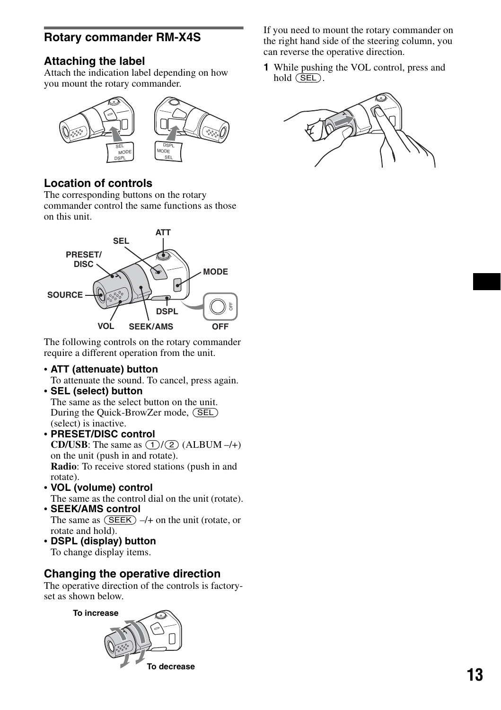## <span id="page-12-0"></span>**Rotary commander RM-X4S**

## **Attaching the label**

Attach the indication label depending on how you mount the rotary commander.



## **Location of controls**

The corresponding buttons on the rotary commander control the same functions as those on this unit.



The following controls on the rotary commander require a different operation from the unit.

- **ATT (attenuate) button**
- To attenuate the sound. To cancel, press again.
- **SEL (select) button** The same as the select button on the unit.

During the Quick-BrowZer mode, (SEL) (select) is inactive.

- **PRESET/DISC control CD/USB:** The same as  $(1)/(2)$  (ALBUM –/+) on the unit (push in and rotate). **Radio**: To receive stored stations (push in and rotate).
- **VOL (volume) control** The same as the control dial on the unit (rotate).
- **SEEK/AMS control** The same as  $(SEEK)$  –/+ on the unit (rotate, or
- rotate and hold). • **DSPL (display) button**

To change display items.

## **Changing the operative direction**

The operative direction of the controls is factoryset as shown below.



If you need to mount the rotary commander on the right hand side of the steering column, you can reverse the operative direction.

**1** While pushing the VOL control, press and hold  $(**SEL**)$ .

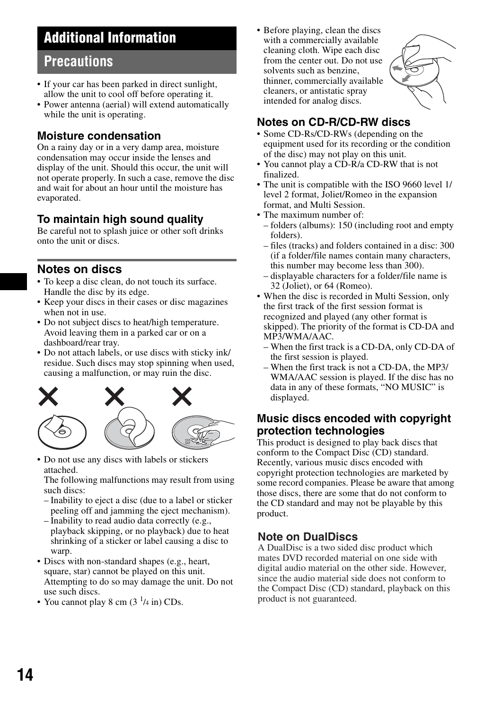## <span id="page-13-0"></span>**Additional Information**

## <span id="page-13-1"></span>**Precautions**

- If your car has been parked in direct sunlight, allow the unit to cool off before operating it.
- Power antenna (aerial) will extend automatically while the unit is operating.

## **Moisture condensation**

On a rainy day or in a very damp area, moisture condensation may occur inside the lenses and display of the unit. Should this occur, the unit will not operate properly. In such a case, remove the disc and wait for about an hour until the moisture has evaporated.

## **To maintain high sound quality**

Be careful not to splash juice or other soft drinks onto the unit or discs.

## <span id="page-13-2"></span>**Notes on discs**

- To keep a disc clean, do not touch its surface. Handle the disc by its edge.
- Keep your discs in their cases or disc magazines when not in use.
- Do not subject discs to heat/high temperature. Avoid leaving them in a parked car or on a dashboard/rear tray.
- Do not attach labels, or use discs with sticky ink/ residue. Such discs may stop spinning when used, causing a malfunction, or may ruin the disc.



• Do not use any discs with labels or stickers attached.

The following malfunctions may result from using such discs:

- Inability to eject a disc (due to a label or sticker peeling off and jamming the eject mechanism).
- Inability to read audio data correctly (e.g., playback skipping, or no playback) due to heat shrinking of a sticker or label causing a disc to warp.
- Discs with non-standard shapes (e.g., heart, square, star) cannot be played on this unit. Attempting to do so may damage the unit. Do not use such discs.
- You cannot play 8 cm  $(3<sup>1</sup>/4 \text{ in})$  CDs.

<span id="page-13-3"></span>• Before playing, clean the discs with a commercially available cleaning cloth. Wipe each disc from the center out. Do not use solvents such as benzine, thinner, commercially available cleaners, or antistatic spray intended for analog discs.



## **Notes on CD-R/CD-RW discs**

- Some CD-Rs/CD-RWs (depending on the equipment used for its recording or the condition of the disc) may not play on this unit.
- You cannot play a CD-R/a CD-RW that is not finalized.
- The unit is compatible with the ISO 9660 level 1/ level 2 format, Joliet/Romeo in the expansion format, and Multi Session.
- The maximum number of:
- folders (albums): 150 (including root and empty folders).
- files (tracks) and folders contained in a disc: 300 (if a folder/file names contain many characters, this number may become less than 300).
- displayable characters for a folder/file name is 32 (Joliet), or 64 (Romeo).
- When the disc is recorded in Multi Session, only the first track of the first session format is recognized and played (any other format is skipped). The priority of the format is CD-DA and MP3/WMA/AAC.
	- When the first track is a CD-DA, only CD-DA of the first session is played.
	- When the first track is not a CD-DA, the MP3/ WMA/AAC session is played. If the disc has no data in any of these formats, "NO MUSIC" is displayed.

## **Music discs encoded with copyright protection technologies**

This product is designed to play back discs that conform to the Compact Disc (CD) standard. Recently, various music discs encoded with copyright protection technologies are marketed by some record companies. Please be aware that among those discs, there are some that do not conform to the CD standard and may not be playable by this product.

## **Note on DualDiscs**

A DualDisc is a two sided disc product which mates DVD recorded material on one side with digital audio material on the other side. However, since the audio material side does not conform to the Compact Disc (CD) standard, playback on this product is not guaranteed.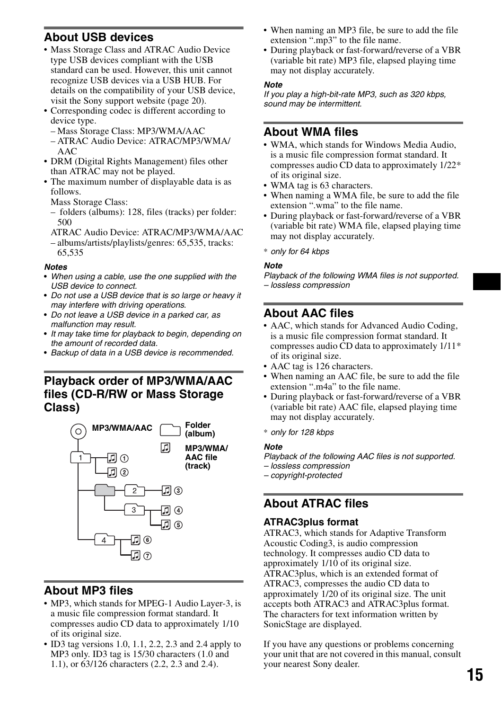## <span id="page-14-0"></span>**About USB devices**

- Mass Storage Class and ATRAC Audio Device type USB devices compliant with the USB standard can be used. However, this unit cannot recognize USB devices via a USB HUB. For details on the compatibility of your USB device, visit the Sony support website [\(page 20\)](#page-19-0).
- Corresponding codec is different according to device type.
	- Mass Storage Class: MP3/WMA/AAC
	- ATRAC Audio Device: ATRAC/MP3/WMA/  $AAC$
- DRM (Digital Rights Management) files other than ATRAC may not be played.
- The maximum number of displayable data is as follows.
	- Mass Storage Class:
	- folders (albums): 128, files (tracks) per folder: 500
	- ATRAC Audio Device: ATRAC/MP3/WMA/AAC
	- albums/artists/playlists/genres: 65,535, tracks: 65,535

### *Notes*

- *When using a cable, use the one supplied with the USB device to connect.*
- *Do not use a USB device that is so large or heavy it may interfere with driving operations.*
- *Do not leave a USB device in a parked car, as malfunction may result.*
- *It may take time for playback to begin, depending on the amount of recorded data.*
- *Backup of data in a USB device is recommended.*

## <span id="page-14-1"></span>**Playback order of MP3/WMA/AAC files (CD-R/RW or Mass Storage Class)**



## <span id="page-14-2"></span>**About MP3 files**

- MP3, which stands for MPEG-1 Audio Layer-3, is a music file compression format standard. It compresses audio CD data to approximately 1/10 of its original size.
- ID3 tag versions 1.0, 1.1, 2.2, 2.3 and 2.4 apply to MP3 only. ID3 tag is 15/30 characters (1.0 and 1.1), or 63/126 characters (2.2, 2.3 and 2.4).
- When naming an MP3 file, be sure to add the file extension " mp3" to the file name.
- During playback or fast-forward/reverse of a VBR (variable bit rate) MP3 file, elapsed playing time may not display accurately.

### *Note*

*If you play a high-bit-rate MP3, such as 320 kbps, sound may be intermittent.*

## <span id="page-14-3"></span>**About WMA files**

- WMA, which stands for Windows Media Audio, is a music file compression format standard. It compresses audio CD data to approximately 1/22\* of its original size.
- WMA tag is 63 characters.
- When naming a WMA file, be sure to add the file extension ".wma" to the file name.
- During playback or fast-forward/reverse of a VBR (variable bit rate) WMA file, elapsed playing time may not display accurately.

\* *only for 64 kbps*

### *Note*

*Playback of the following WMA files is not supported. – lossless compression*

## <span id="page-14-4"></span>**About AAC files**

- AAC, which stands for Advanced Audio Coding, is a music file compression format standard. It compresses audio CD data to approximately 1/11\* of its original size.
- AAC tag is 126 characters.
- When naming an AAC file, be sure to add the file extension ".m4a" to the file name.
- During playback or fast-forward/reverse of a VBR (variable bit rate) AAC file, elapsed playing time may not display accurately.
- \* *only for 128 kbps*

## *Note*

- *Playback of the following AAC files is not supported.*
- *lossless compression*
- *copyright-protected*

## <span id="page-14-5"></span>**About ATRAC files**

## **ATRAC3plus format**

ATRAC3, which stands for Adaptive Transform Acoustic Coding3, is audio compression technology. It compresses audio CD data to approximately 1/10 of its original size. ATRAC3plus, which is an extended format of ATRAC3, compresses the audio CD data to approximately 1/20 of its original size. The unit accepts both ATRAC3 and ATRAC3plus format. The characters for text information written by SonicStage are displayed.

If you have any questions or problems concerning your unit that are not covered in this manual, consult your nearest Sony dealer.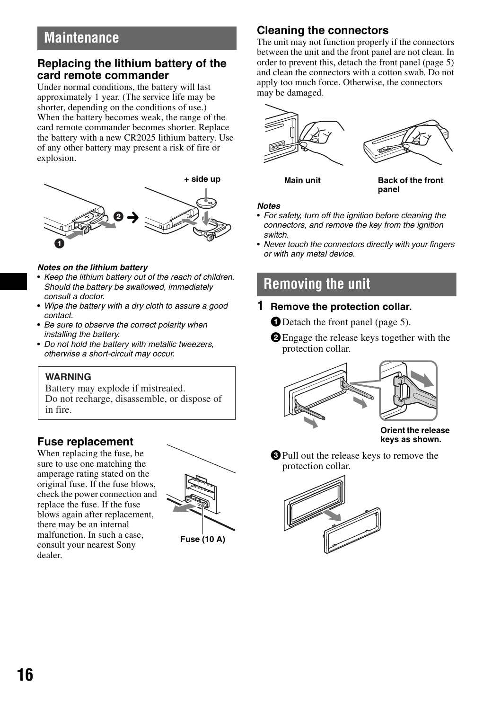## <span id="page-15-0"></span>**Maintenance**

## **Replacing the lithium battery of the card remote commander**

Under normal conditions, the battery will last approximately 1 year. (The service life may be shorter, depending on the conditions of use.) When the battery becomes weak, the range of the card remote commander becomes shorter. Replace the battery with a new CR2025 lithium battery. Use of any other battery may present a risk of fire or explosion.



### *Notes on the lithium battery*

- *Keep the lithium battery out of the reach of children. Should the battery be swallowed, immediately consult a doctor.*
- *Wipe the battery with a dry cloth to assure a good contact.*
- *Be sure to observe the correct polarity when installing the battery.*
- *Do not hold the battery with metallic tweezers, otherwise a short-circuit may occur.*

## **WARNING**

Battery may explode if mistreated. Do not recharge, disassemble, or dispose of in fire.

## **Fuse replacement**

When replacing the fuse, be sure to use one matching the amperage rating stated on the original fuse. If the fuse blows, check the power connection and replace the fuse. If the fuse blows again after replacement, there may be an internal malfunction. In such a case, consult your nearest Sony dealer.



**Fuse (10 A)**

## <span id="page-15-2"></span>**Cleaning the connectors**

The unit may not function properly if the connectors between the unit and the front panel are not clean. In order to prevent this, detach the front panel ([page 5](#page-4-0)) and clean the connectors with a cotton swab. Do not apply too much force. Otherwise, the connectors may be damaged.



**Main unit Back of the front panel**

### *Notes*

- *For safety, turn off the ignition before cleaning the connectors, and remove the key from the ignition switch.*
- *Never touch the connectors directly with your fingers or with any metal device.*

## <span id="page-15-1"></span>**Removing the unit**

- **1 Remove the protection collar.**
	- **ID** Detach the front panel [\(page 5\)](#page-4-0).
	- **2** Engage the release keys together with the protection collar.



**Orient the release keys as shown.**

3Pull out the release keys to remove the protection collar.

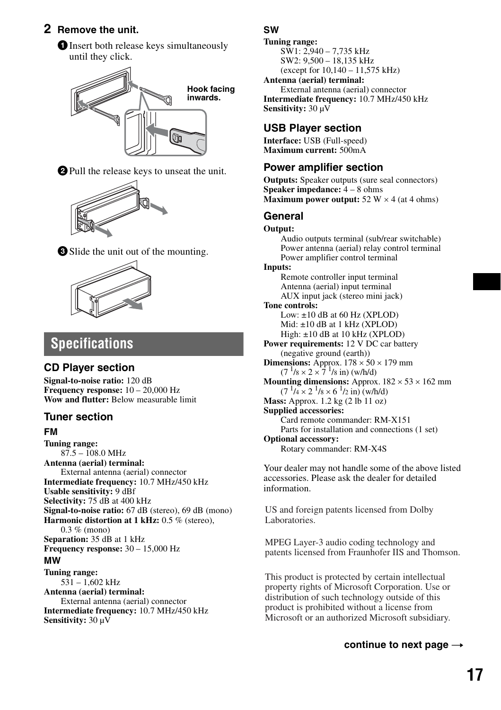## **2 Remove the unit.**

**The 1Insert both release keys simultaneously** until they click.



2Pull the release keys to unseat the unit.







## <span id="page-16-0"></span>**Specifications**

## **CD Player section**

**Signal-to-noise ratio:** 120 dB **Frequency response:** 10 – 20,000 Hz **Wow and flutter:** Below measurable limit

## **Tuner section**

## **FM**

**Tuning range:**  $87.5 - 108.0 \text{ MHz}$ **Antenna (aerial) terminal:** External antenna (aerial) connector **Intermediate frequency:** 10.7 MHz/450 kHz **Usable sensitivity:** 9 dBf **Selectivity:** 75 dB at 400 kHz **Signal-to-noise ratio:** 67 dB (stereo), 69 dB (mono) **Harmonic distortion at 1 kHz:** 0.5 % (stereo), 0.3 % (mono) **Separation:** 35 dB at 1 kHz **Frequency response:** 30 – 15,000 Hz **MW Tuning range:**  $531 - 1,602$  kHz **Antenna (aerial) terminal:** External antenna (aerial) connector **Intermediate frequency:** 10.7 MHz/450 kHz **Sensitivity:** 30 µV

## **SW**

**Tuning range:** SW1: 2,940 – 7,735 kHz SW2: 9,500 – 18,135 kHz (except for 10,140 – 11,575 kHz) **Antenna (aerial) terminal:** External antenna (aerial) connector **Intermediate frequency:** 10.7 MHz/450 kHz **Sensitivity:** 30 µV

## **USB Player section**

**Interface:** USB (Full-speed) **Maximum current:** 500mA

## **Power amplifier section**

**Outputs:** Speaker outputs (sure seal connectors) **Speaker impedance:** 4 – 8 ohms **Maximum power output:**  $52 W \times 4$  (at 4 ohms)

## **General**

**Output:** Audio outputs terminal (sub/rear switchable) Power antenna (aerial) relay control terminal Power amplifier control terminal **Inputs:** Remote controller input terminal Antenna (aerial) input terminal AUX input jack (stereo mini jack) **Tone controls:** Low:  $\pm 10$  dB at 60 Hz (XPLOD) Mid: ±10 dB at 1 kHz (XPLOD) High: ±10 dB at 10 kHz (XPLOD) **Power requirements:** 12 V DC car battery (negative ground (earth)) **Dimensions:** Approx.  $178 \times 50 \times 179$  mm  $(7^{1}/8 \times 2 \times 7^{1}/8 \text{ in})$  (w/h/d) **Mounting dimensions:** Approx.  $182 \times 53 \times 162$  mm  $(7 \frac{1}{4} \times 2 \frac{1}{8} \times 6 \frac{1}{2} \text{ in})$  (w/h/d) **Mass:** Approx. 1.2 kg (2 lb 11 oz) **Supplied accessories:** Card remote commander: RM-X151 Parts for installation and connections (1 set) **Optional accessory:**  Rotary commander: RM-X4S

Your dealer may not handle some of the above listed accessories. Please ask the dealer for detailed information.

US and foreign patents licensed from Dolby Laboratories.

MPEG Layer-3 audio coding technology and patents licensed from Fraunhofer IIS and Thomson.

This product is protected by certain intellectual property rights of Microsoft Corporation. Use or distribution of such technology outside of this product is prohibited without a license from Microsoft or an authorized Microsoft subsidiary.

## continue to next page  $\rightarrow$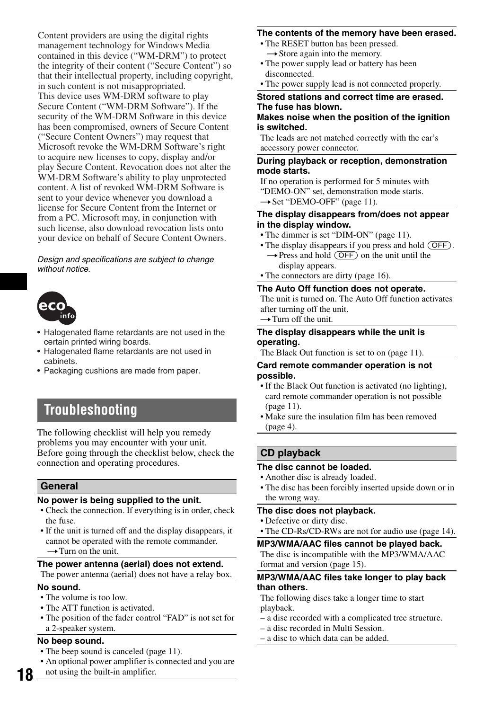Content providers are using the digital rights management technology for Windows Media contained in this device ("WM-DRM") to protect the integrity of their content ("Secure Content") so that their intellectual property, including copyright, in such content is not misappropriated. This device uses WM-DRM software to play Secure Content ("WM-DRM Software"). If the security of the WM-DRM Software in this device has been compromised, owners of Secure Content ("Secure Content Owners") may request that Microsoft revoke the WM-DRM Software's right to acquire new licenses to copy, display and/or play Secure Content. Revocation does not alter the WM-DRM Software's ability to play unprotected content. A list of revoked WM-DRM Software is sent to your device whenever you download a license for Secure Content from the Internet or from a PC. Microsoft may, in conjunction with such license, also download revocation lists onto your device on behalf of Secure Content Owners.

### *Design and specifications are subject to change without notice.*



- Halogenated flame retardants are not used in the certain printed wiring boards.
- Halogenated flame retardants are not used in cabinets.
- Packaging cushions are made from paper.

## <span id="page-17-0"></span>**Troubleshooting**

The following checklist will help you remedy problems you may encounter with your unit. Before going through the checklist below, check the connection and operating procedures.

### **General**

### **No power is being supplied to the unit.**

- Check the connection. If everything is in order, check the fuse.
- If the unit is turned off and the display disappears, it cannot be operated with the remote commander.  $\rightarrow$  Turn on the unit.

### **The power antenna (aerial) does not extend.**

The power antenna (aerial) does not have a relay box.

### **No sound.**

**18**

- The volume is too low.
- The ATT function is activated.
- The position of the fader control "FAD" is not set for a 2-speaker system.

### **No beep sound.**

- The beep sound is canceled ([page 11\)](#page-10-11).
- An optional power amplifier is connected and you are
- not using the built-in amplifier.

### **The contents of the memory have been erased.**

- The RESET button has been pressed.  $\rightarrow$  Store again into the memory.
- The power supply lead or battery has been disconnected.
- The power supply lead is not connected properly.

### **Stored stations and correct time are erased. The fuse has blown.**

### **Makes noise when the position of the ignition is switched.**

The leads are not matched correctly with the car's accessory power connector.

### **During playback or reception, demonstration mode starts.**

If no operation is performed for 5 minutes with "DEMO-ON" set, demonstration mode starts.  $\rightarrow$  Set "DEMO-OFF" [\(page 11](#page-10-10)).

### **The display disappears from/does not appear in the display window.**

- The dimmer is set "DIM-ON" [\(page 11\)](#page-10-12).
- The display disappears if you press and hold (OFF).
	- $\rightarrow$  Press and hold (OFF) on the unit until the display appears.
- The connectors are dirty ([page 16](#page-15-2)).

### **The Auto Off function does not operate.**

The unit is turned on. The Auto Off function activates after turning off the unit.  $\rightarrow$  Turn off the unit.

## **The display disappears while the unit is**

### **operating.**

The Black Out function is set to on ([page 11](#page-10-13)).

### **Card remote commander operation is not possible.**

- If the Black Out function is activated (no lighting), card remote commander operation is not possible  $(na)$
- Make sure the insulation film has been removed ([page 4\)](#page-3-3).

## **CD playback**

### **The disc cannot be loaded.**

- Another disc is already loaded.
- The disc has been forcibly inserted upside down or in the wrong way.

### **The disc does not playback.**

- Defective or dirty disc.
- The CD-Rs/CD-RWs are not for audio use [\(page 14\)](#page-13-3).

### **MP3/WMA/AAC files cannot be played back.**

The disc is incompatible with the MP3/WMA/AAC format and version [\(page 15\)](#page-14-2).

### **MP3/WMA/AAC files take longer to play back than others.**

The following discs take a longer time to start playback.

- a disc recorded with a complicated tree structure.
- a disc recorded in Multi Session.
- a disc to which data can be added.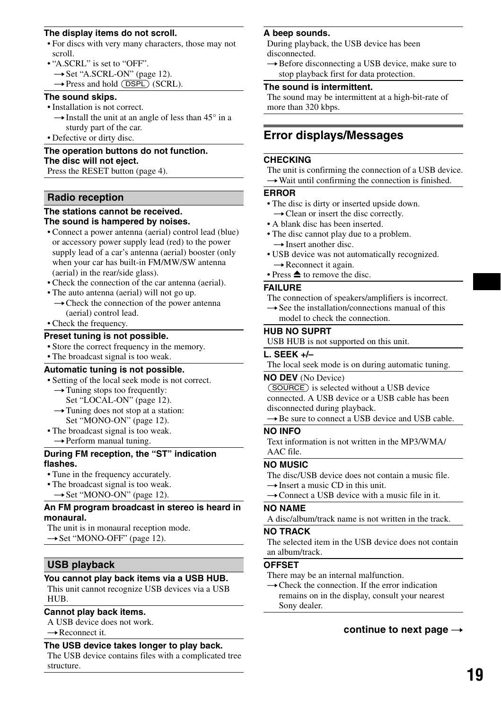### **The display items do not scroll.**

- For discs with very many characters, those may not scroll.
- "A.SCRL" is set to "OFF".
	- $\rightarrow$  Set "A.SCRL-ON" ([page 12](#page-11-4)).
	- $\rightarrow$  Press and hold (DSPL) (SCRL).

### **The sound skips.**

- Installation is not correct.
	- $\rightarrow$  Install the unit at an angle of less than 45° in a sturdy part of the car.
- Defective or dirty disc.

## **The operation buttons do not function. The disc will not eject.**

Press the RESET button ([page 4](#page-3-2)).

### **Radio reception**

### **The stations cannot be received. The sound is hampered by noises.**

- Connect a power antenna (aerial) control lead (blue) or accessory power supply lead (red) to the power supply lead of a car's antenna (aerial) booster (only when your car has built-in FM/MW/SW antenna (aerial) in the rear/side glass).
- Check the connection of the car antenna (aerial).
- The auto antenna (aerial) will not go up.  $\rightarrow$  Check the connection of the power antenna (aerial) control lead.
- Check the frequency.

### **Preset tuning is not possible.**

- Store the correct frequency in the memory.
- The broadcast signal is too weak.

## **Automatic tuning is not possible.**

- Setting of the local seek mode is not correct.
	- $\rightarrow$  Tuning stops too frequently: Set "LOCAL-ON" [\(page 12\)](#page-11-2).  $\rightarrow$  Tuning does not stop at a station:
	- Set "MONO-ON" [\(page 12](#page-11-3)).
- The broadcast signal is too weak.  $\rightarrow$  Perform manual tuning.

### **During FM reception, the "ST" indication flashes.**

- Tune in the frequency accurately.
- The broadcast signal is too weak.
- $\rightarrow$  Set "MONO-ON" [\(page 12](#page-11-3)).

### **An FM program broadcast in stereo is heard in monaural.**

The unit is in monaural reception mode.

 $\rightarrow$  Set "MONO-OFF" [\(page 12\)](#page-11-3).

## **USB playback**

### **You cannot play back items via a USB HUB.**

This unit cannot recognize USB devices via a USB HUB.

### **Cannot play back items.**

- A USB device does not work.
- $\rightarrow$  Reconnect it.

### **The USB device takes longer to play back.**

The USB device contains files with a complicated tree structure.

### **A beep sounds.**

During playback, the USB device has been disconnected.

 $\rightarrow$  Before disconnecting a USB device, make sure to stop playback first for data protection.

### **The sound is intermittent.**

The sound may be intermittent at a high-bit-rate of more than 320 kbps.

## <span id="page-18-0"></span>**Error displays/Messages**

### **CHECKING**

The unit is confirming the connection of a USB device.  $\rightarrow$  Wait until confirming the connection is finished.

### **ERROR**

- The disc is dirty or inserted upside down.  $\rightarrow$  Clean or insert the disc correctly.
- A blank disc has been inserted.
- The disc cannot play due to a problem.  $\rightarrow$  Insert another disc.
- USB device was not automatically recognized.  $\rightarrow$  Reconnect it again.
- Press  $\triangleq$  to remove the disc.

### **FAILURE**

The connection of speakers/amplifiers is incorrect.

 $\rightarrow$  See the installation/connections manual of this model to check the connection.

### **HUB NO SUPRT**

USB HUB is not supported on this unit.

### **L. SEEK +/–**

The local seek mode is on during automatic tuning.

### **NO DEV** (No Device)

(SOURCE) is selected without a USB device connected. A USB device or a USB cable has been disconnected during playback.

 $\rightarrow$  Be sure to connect a USB device and USB cable.

### **NO INFO**

Text information is not written in the MP3/WMA/ AAC file.

## **NO MUSIC**

The disc/USB device does not contain a music file.  $\rightarrow$  Insert a music CD in this unit.

 $\rightarrow$  Connect a USB device with a music file in it.

### **NO NAME**

A disc/album/track name is not written in the track.

### **NO TRACK**

The selected item in the USB device does not contain an album/track.

### **OFFSET**

There may be an internal malfunction.

 $\rightarrow$  Check the connection. If the error indication remains on in the display, consult your nearest Sony dealer.

### continue to next page  $\rightarrow$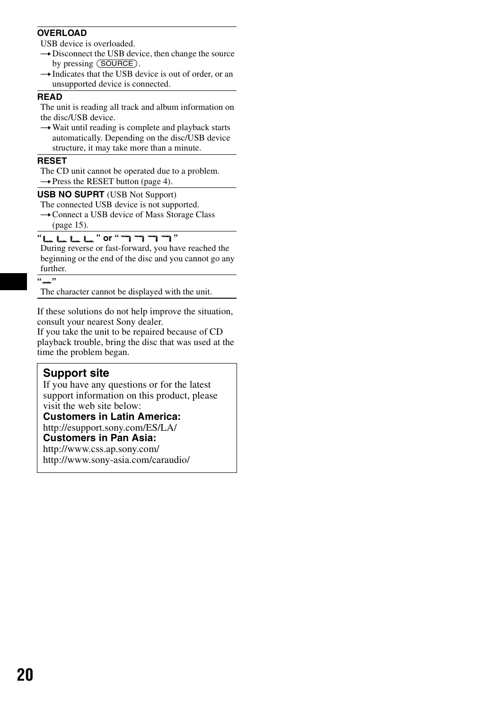### **OVERLOAD**

USB device is overloaded.

- $\rightarrow$  Disconnect the USB device, then change the source by pressing (SOURCE).
- $\rightarrow$  Indicates that the USB device is out of order, or an unsupported device is connected.

### **READ**

The unit is reading all track and album information on the disc/USB device.

 $\rightarrow$  Wait until reading is complete and playback starts automatically. Depending on the disc/USB device structure, it may take more than a minute.

### **RESET**

The CD unit cannot be operated due to a problem.  $\rightarrow$  Press the RESET button ([page 4\)](#page-3-2).

### **USB NO SUPRT** (USB Not Support)

The connected USB device is not supported.  $\rightarrow$  Connect a USB device of Mass Storage Class

[\(page 15\)](#page-14-0).

### " <u>" L L L " or " "</u> " " " " " " "

During reverse or fast-forward, you have reached the beginning or the end of the disc and you cannot go any further.

### **" "**

The character cannot be displayed with the unit.

If these solutions do not help improve the situation, consult your nearest Sony dealer.

If you take the unit to be repaired because of CD playback trouble, bring the disc that was used at the time the problem began.

## <span id="page-19-0"></span>**Support site**

If you have any questions or for the latest support information on this product, please visit the web site below:

**Customers in Latin America:** http://esupport.sony.com/ES/LA/

## **Customers in Pan Asia:**

http://www.css.ap.sony.com/ http://www.sony-asia.com/caraudio/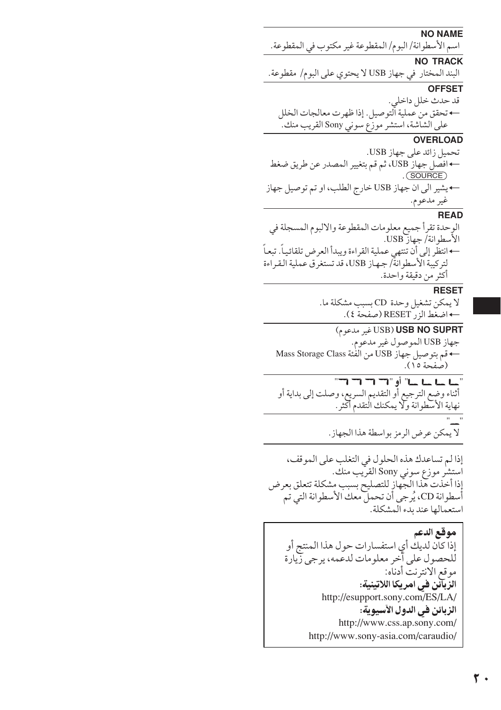**NO NAME** اسم الأسطوانة/ البوم/ المقطوعة غير مكتوب في المقطوعة. **NO TRACK** البند المختار في جهاز USB لا يحتوي على البوم/ مقطوعة. **OFFSET** قد حدث خلل داخلي. — تحقق من عملية الّتوصيل. إذا ظهرت معالجات الخلل على الشاشة، استشر موزّع سوني Sony القريب منك. **OVERLOAD** تحميل زائد على جهاز USB. ← افصل جهاز USB، ثم قم بتغيير المصدر عن طريق ضغط  $.$  (SOURCE) ← يشير الى ان جهاز USB خارج الطلب، او تم توصيل جهاز غير مدعوم. **READ** الوحدة تقرأ جميع معلومات المقطوعة والالبوم المسجلة في الأسطوانة/جهاز USB. ← انتظَّر إلى أن تنتهي عملية القراءة ويبدأ العرض تلقائياً. تبعاً لتركيبة الأسطوانة/ جهاز USB، قد تستغرق عملية القراءة أكثر من دقيقة واحدة. **RESET** لا يمكن تشغيل وحدة CD بسبب مشكلة ما. ← اضغط الزر RESET (صفحة ٤). USB) USB NO SUPRT غير ملاعوم) جهاز USB الموصول غير مدعوم. ← قم بتوصيل جهاز USB من الفُئة Mass Storage Class (صفحة ١٥). " سا سا سا" أو " 17 17 17 17" .<br>أثناء وضع الترجيع أو التقديم السريع، وصلت إلى بداية أو<br>نهاية الأسطوانة ولا يمكنك التقدم أكثر . لا يمكن عرض الرمز بواسطة هذا الجهاز. إذا لم تساعدك هذه الحلول في التغلب على الموقف، استشر موزع سوني Sony القرّيب منك. إذا أخذت هذا الجهاز للتصليح بسبب مشكلة تتعلق بعرض أسطوانة CD، يُرجى أن تحمل معك الأسطوانة التي تم استعمالها عند بدء المشكلة. موقع الدعم إذا كان لديك أي استفسارات حول هذا المنتج أو للحصول على آخر معلومات لدعمه، يرجى زِّيارة موقع الانترنت أدناّه: الزِّبَانَن فيّ امريكا اللاتينية: http://esupport.sony.com/ES/LA/ الزبائن في الدول الآسيوية: http://www.css.ap.sony.com/ http://www.sony-asia.com/caraudio/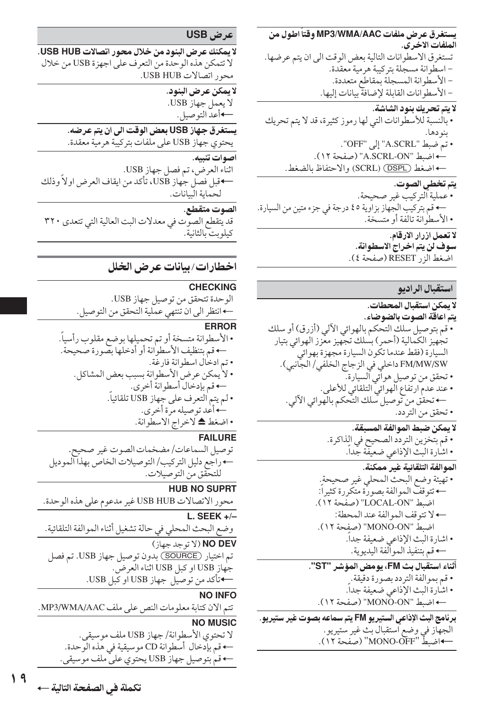سيتغرق عرض ملفات MP3/WMA/AAC وقتاً اطول من الملفات الاخر ي. تستغرق الاسطوانات التالية بعض الوقت الى ان يتم عرضها. - اسطوانة مسجلة بتركيبة هرمية معقدة. - الأسطوانة المسجلة بمقاطع متعددة. - الأسطوانات القابلة لإضافة بيانات إليها. لا يتم تحريك بنود الشاشة. • بالنسبة للأسطوانات التي لها رموز كثيرة، قد لا يتم تحريك بنو دها. • تم ضبط "A.SCRL" إلى "OFF". ← اضبط "A.SCRL-ON" (صفحة ١٢). + اضغط (SCRL) (SCRL) والاحتفاظ بالضغط. يتم تخطى الصوت.

• عملية التركيب غير صحيحة. + قم بتركيب الجهاز بزاوية ٤٥ درجة في جزء متين من السيارة. • الأسطوانة تالفة أو متسخة.

لا تعمل ازرار الارقام. سوف لن يتم اخراج الاسطوانة. اضْغط آلز ( RESET (صفحة ٤).

## استقبال الراديو

- لا يمكن استقبال المحطات. يتم اعاقة الصوت بالضوضاء. • قم بتوصيل سلك التحكم بالهوائي الألبي (أزرق) أو سلك تجهيز الكمالية (أحمر) بسلك تجهيز معزز الهوائي بتيار السيارة (فقط عندما تكون السيارة مجهزة بهوائي FM/MW/SW داخلي في الزجاج الخلفي/ الجانبي). • تحقق من توصيل هوائي السيارة. • عند عدم ارتفاع الّهوائيّ التلقائي للأعلى. ← تحقق من توصيل سلك التحكم بالهوائي الألي. • تحقق من التردد.
	- لا يمكن ضبط الموالفة المسبقة. • قم بتخزين التردد الصحيح في الذاكرة.
		- اشارة البث الإذاعي ضعيفة جّداً. الموالفة التلقائية غير ممكنة.
	- تهيئة وضع البحث المحلي غير صحيحة. ← تتوقف الموالفة بصورة متكررة كثيراً: اضط "LOCAL-ON" (صفحة ١٢). + لا تتوقف الموالفة عند المحطة: اضبط "MONO-ON" (صفحة ١٢). • اشارة البث الإذاعي ضعيفة جداً. ← قم بتنفيذ المو ألّفة اليديو ية.
- أثناء استقبال بث FM، يومض المؤشر "ST". • قم بموالفة التردد بصورة دقيقة. ٍ • اشارة البث الإذاعي ضعيفة جداً. ← اضبط "MONÖ-ON" (صفحة ١٢). برنامج البث الإذاعي الستيريو FM يتم سماعه بصوت غير ستيريو.
	- الجهاز في وضع استقبال بث غير ستيريو. ←اضبطْ "MONO-OFF" (صفحة ١٢).

## عرض USB

لا يمكنك عرض البنود من خلال محور اتصالات USB HUB. لا تتمكن هذه الوحدة من التعرف على اجهزة USB من خلال محور اتصالات USB HUB.

> لا يمكن عرض البنود. لا يعمل جهاز USB. ←أعد التوصيل.

يستغرق جهاز USB بعض الوقت الى ان يتم عرضه. يحتوي جهاز USB على ملفات بتركيبة هرمية معقدة.

اصوات تنيبه. اثناء العرض، تم فصل جهاز USB. ←قبل فصل جهاز USB، تأكد من ايقاف العرض اولاً وذلك

لحماية البيانات.

الصوت متقطع.

قد يتقطع الصوت في معدلات البت العالية التي تتعدى ٣٢٠ كىلويت بالثانية.

## اخطارات/بيانات عرض الخلل

## **CHECKING**

الوحدة تتحقق من توصيل جهاز USB. ←انتظر الى ان تنتهي عملية التحقق من التوصيل.

### **ERROR**

• الأسطوانة متسخة أو تم تحميلها بوضع مقلوب رأسيا. —• قم بتنظيف الأسطوانة أو أدخلها بصورة صحيحة. • تم ادخال اسطو انة فارغة. • لا يمكن عرض الأسطوانة بسبب بعض المشاكل. ← قم بإدخال أسطوانة أخرى. • لم يتم التعرف على جهاز USB تلقائياً. └ أعد توصيله مرّة أخرى.<br>• اضغط ▲ لاخراج الاسطوانة.

## **FAILURE**

توصيل السماعات/ مضخمات الصوت غير صحيح. ←راجع دليل التركيب/ التوصيلات الخاص بهذا الموديل للتحقق من التو صيلات.

## **HUB NO SUPRT**

محور الاتصالات USB HUB غير مدعوم على هذه الوحدة. L. SEEK  $+/-$ وضع البحث المحلي في حالة تشغيل أثناء الموالفة التلقائية. NO DEV (لا توجد جهاز) تم اختيار (SOURCE) بدون توصيل جهاز USB. تم فصل

جهاز USB او كبل USB اثناء العرض. ←قاًكد من توصيل جهاز USB او كبل USB.

## NO INFO

تتم الان كتابة معلومات النص على ملف MP3/WMA/AAC.

## **NO MUSIC**

لا تحتوى الأسطوانة/ جهاز USB ملف موسيقى. ← قم بإدخال أسطوانة CD موسيقية في هذه الوحدة. ← قم بتوصيل جهاز USB يحتوي على ملف موسيقى.

تكملة في الصفحة التالية ←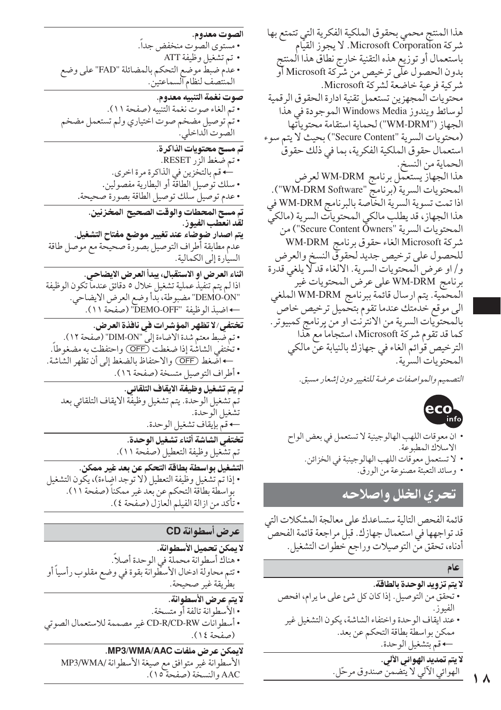هذا المنتج محمى بحقوق الملكية الفكرية التي تتمتع بها شركة Microsoft Corporation. لا يجوز القيّام باستعمال أو توزيع هذه التقنية خارج نطاق هذا المنتج بدون الحصول علَّى ترخيص من شركة Microsoft أو شركية فرعية خاضعة لشركة Microsoft. محتويات المجهزين تستعمل تقنية ادارة الحقوق الرقمية لوسائط ويندوز Windows Media الموجودة في هذا الجهاز ("WM-DRM") لحماية استقامة محتوياتّها (محتويات السرية "Secure Content") بحيث لا يتم سوء استعمال حقوق الملكية الفكرية، بما في ذلك حقوق الحماية من النسخ. هذا الجهازّ يستعمل برنامج WM-DRM لعرض المحتويات السرية (برنامج "WM-DRM Software"). اذا تمت تسوية السرية الخاصة بالبرنامج WM-DRM في هذا الجهاز، قد يطلب مالكي المحتويات السرية (مالكيّ المحتويات السرية "Secure Content Öwners") من شركة Microsoft الغاء حقوق برنامج WM-DRM للحصول على ترخيص جديد لحقوقي النسخ والعرض و/او عرض المحتويات السرية. الالغاء قد لا يلغي قدرة برنامج WM-DRM على عرض المحتويات غير المحمية. يتم ارسال قائمة ببرنامج WM-DRM الملغي الى موقع خدمتك عندما تقوم بتحميل ترخيص خاص بالمحتويات السرية من الانترنت او من پرنامج كمبيوتر . كما قد تقوم شركة Microsoft، استجاماً مع هذا الترخيص قوائم الغاء في جهازك بالنيابة عنّ مالكي المحتويات السرية.

التصميم والمواصفات عرضة للتغيير دون إشعار مسبق.



- ان معوقات اللهب الهالوجينية لا تستعمل في بعض الواح الاسلاك المطبوعة.
	- لا تستعمل معوِّقات اللهب الهالوجينبة في الخزائن. • وسائد التعبئة مصنوعة من الورق.

## تحرى الخلل واصلاحه

قائمة الفحص التالية ستساعدك على معالجة المشكلات التي قد تواجهها في استعمال جهازك. قبل مراجعة قائمة الفحص أدناه، تحقق مَّن التوصيلات وراجع خطوات التشغيل.

- لا يتم تزويد الوحدة بالطاقة. • تحقق من التوصيل. إذا كان كل شئ على ما يرام، افحص • عند ايقاف الوحدة واختفاء الشاشة، يكون التشغيل غير ممكن بواسطة بطاقة التحكم عن بعد. ← قم بتشغيل الوحدة.
	- لا يتم تمديد الهوائي الآلي. الهوائي الألي لا يتضمن صندوق مرحّل.

• مستوى الصوت منخفض جداً. • تم تشغيل وظيفة ATT • عدم ضبط موضع التحكم بالمضائلة "FAD" على وضع<br>المنتصف لنظام السماعتين. صوت نغمة التنبيه معدوم. • تم الغاء صوت نغمة التنبيه (صفحة ١١). • تم توصيل مضخم صوت اختياري ولم تستعمل مضخم الصوت الداخلي. تم مسح محتويات الذاكرة. • تم ضغط الزر RESET. ← قم بالتخزين في الذاكرة مرة اخرى. • سلك توصيل الطاقة أو البطّارية مفصّولين. • عدم توصيل سلك توصيل الطاقة بصورة صحيحة. تم مسح المحطات والوقت الصحيح المخزنين. لقد انعطب الفيوز. يتم اصدار ضوضاء عند تغيير موضع مفتاح التشغيل. عدم مطابقة أطراف التوصيل بصورة صحيحة مع موصل طاقة السيارة إلى الكمالية. اثناء العرض او الاستقبال، يبدأ العرض الايضاحي. اذا لم يتم تنفيذ عملية تشغيل خلال ٥ دقائق عندما تكون الوظيفة "DEMO-ON" مضبوطة، بدأ وضع العرض الايضاحي. ← اضبذ الوظيفة "DEMO-OFF" (صفحة ١١). تختفي/لا تظهر المؤشرات في نافذة العرض. • تم ضَبط معتم شدة الاضاءة إلى "DIM-ON" (صفحة ١٢). • تختفي الشاشة إذا ضغطت (OFF) واحتفظت به مضغوطاً. ← اضَّغط (OFF) والاحتفاظ بالضغط إلى أن تظهر الشاشة. • أطراف التوصيل متسخة (صفحة ١٦). لم يتم تشغيل وظيفة الايقاف التلقائي. تم تشغيل الوحدة. يتم تشغيل وظيفَّة الايقاف التلقائي بعد تشغيل الوحدة. ← قم بإيقاف تشغيل الوحدة. تختفي الشاشة أثناء تشغيل الوحدة. تم تشغيل وظيفة التعطيل (صفحة ١١).

التشغيل بواسطة بطاقة التحكم عن بعد غير ممكن. • إذا تم تشغيل وظيفة التعطيل (لا توجد اضاءة)، يكون التشغيل بواسطة بطاقة التحكم عن بعد غير ممكناً (صفحة ١١). • تأكد من ازالة الفيلم العازل (صفحة ٤).

## عرض أسطوانة CD

الصوت معدوم.

- لا يمكن تحميل الأسطوانة.
- هناكَ أسطوانة محملةً في الوحدة أصلاً. • تتم محاولةً ادخال الأسطوانة بقوة في وضع مقلوب رأسياً أو بطريقة غير صحيحة.
	- لا يتم عرض الأسطوانة.
	- الأسطوانة تالفة أو متسخة.
- أسطوانات CD-R/CD-RW غير مصممة للاستعمال الصوتي (صفحة ١٤).
	- لايمكن عرض ملفات MP3/WMA/AAC. الأسطوانة غير متوافق مع صيغة الأسطوانة /MP3/WMA AAC والنسخة (صفحة ١٥).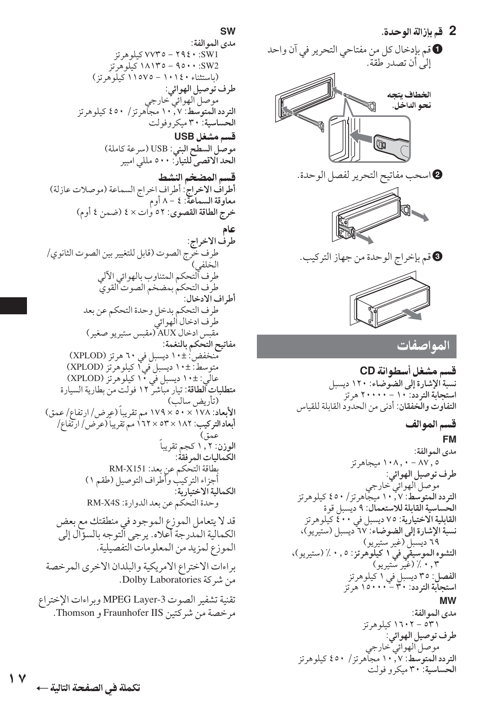**SW** مدى الموالفة:  $5.5W1$  × 198 × - 0 × 0 × 0 × 0 × 0 × 1 SW2: ٩٥٠٠- ١٨١٣٥ كيلوهرتز (باستثناء ۱۱۵۷۰ - ۱۱۵۷۵ کیلوهرتز) طرف توصيل الهوائي: ر<br>موصل الهوائي خارجي التردد الَّمتوسط: ٧ , ١٠ مجآهرتز/ ٤٥٠ كيلوهرتز الحساسية: ٣٠ ميكروفولت قسم مشغل USB موصل السطح البني: USB (سرعة كاملة)<br>الحد الاقصى للتيار: ٥٠٠ مللي امبير قسم المضخم النشط أطرافُ الاخراج ٰ: أطراف اخراج السماعة (موصلات عازلة) معاوقة السماعة: ٤ – ٨ أوم خرج الطاقة القصوى: ٥٢ وٰات × ٤ (ضمن ٤ أوم) طرف الاخراج: طرف خرج الصوت (قابل للتغيير بين الصوت الثانوي/ الخلفي) طرف ألتحكم المتناوب بالهوائي الآلي طرف التحكم بمضخم الصوت القوي أطراف الادخال: طرف التحكم بدخل وحدة التحكم عن بعد طرف ادخال الهوائي مقبّس ادخال AUX (مقبس ستيريو صغير) مفاتيح التحكم بالنغمة: منخفض'±١٠ ديسبل في ٦٠ هرتز (XPLOD) .. . .<br>متوسط: ±١٠ ديسبل في اكيلوهرتز (XPLOD)<br>عالى: ±١٠ ديسبل في ١٠ كيلوهرتز (XPLOD) عالّي: ±١٠ ديسبل في ١٠ كيلوهرتز (XPLOD)<br>م**تطلبات الطاقة**: تيار مباشر ١٢ فولت من بطارية السيارة (تأريض سالب) الأبعاد: ١٧٨ × ٥٠ × ١٧٩ مم تقريباً (عِرِض/ ارتفاع/ عمق) أبعاد التركيب: ١٨٢ × ٥٣ × ١٦٢ مم تقريبا (عرض/ ارتّفاع/ ء هقه) الوزن: ۱٫۲ کجم تقریباً الكماليات المر فقة: بطاقة التحكم عن بعد: RM-X151 أجزاء التركيب وأطراف التوصيل (طقم ١) الكمالية الاختيارية: وحدة التحكم عن بعد الدوارة: RM-X4S قد لا يتعامل الموزع الموجود في منطقتك مع بعض الكمالية المدرجة أعلاه. يرجى الّتوجه بالسؤال إلىّ الموزع لمزيد من المعلومات التفصيلية. براءات الاختراع الامريكية والبلدان الاخرى المرخصة من شركة Dolby Laboratories. تقنية تشفير الصوت MPEG Layer-3 وبراءات الإختراع مرخصة من شركتين Fraunhofer IIS و Thomson.

إلى أن تصدر طقة. الخطاف ىتحه نحو الداخل.  $|\mathbb{F}|$ @اسحب مفاتيح التحرير لفصل الوحدة. §قم بإخراج الوحدة من جهاز التركيب. المواصفات قسم مشغل أسطوانة CD نسبة الإشارة إلى الضوضاء: ١٢٠ ديسبل استجابة التردد: ١٠ - ٢٠٠٠٠ هرتز التفاوت والخفقان: أدنى من الحدود القابلة للقياس قسم الموالف

**0** قم بإدخال كل من مفتاحي التحرير في آن واحد

2 قم بإزالة الوحدة.

**FM** مدى الموالفة: ۰٫۰ - ۱۰۸٫۰ میجاهرتز طرف توصيل الهوائي: -<br>- موصل الهوائي خارجي<br>التردد المتوسط: ۱۰٫۷ ميجاهرتز/ ٤٥٠ کيلوهرتز الحساسية القابلة للاستعمال: ٩ ديسبل قوة القابلية الاختيارية: ٧٥ ديسبل في ٤٠٠ كيلوهرتز نسبة الإشارة إلى الضوضاء: ٦٧ ديسبل (ستيريو)، ٢٩ ديسبل (غير ستيريو) التشوه الموسيقى فيّ ١ كَيْلُوْهرتز: ٠,٥ ٪ (ستيريو)، ۰٫۳٪ (غیر ستیریو) الفصل: ٣٥ ديسبل في ١ كيلوهرتز<br>ا**ستجابة التردد**: ٣٠ - ١٥٠٠٠ هرتز **MW** 

مدى الموالفة: ۲۳۱ – ۱۲۰۲ کیلوهرتز طرف توصيل الهوائي: موصل الهوائي خارجي<br>التردد المتوسط: ۰٫۷ مجاهرتز/ ٤٥٠ كيلوهرتز الحساسية: ٣٠ ميكرو فولت

۱۷ تكملة في الصفحة التالية ←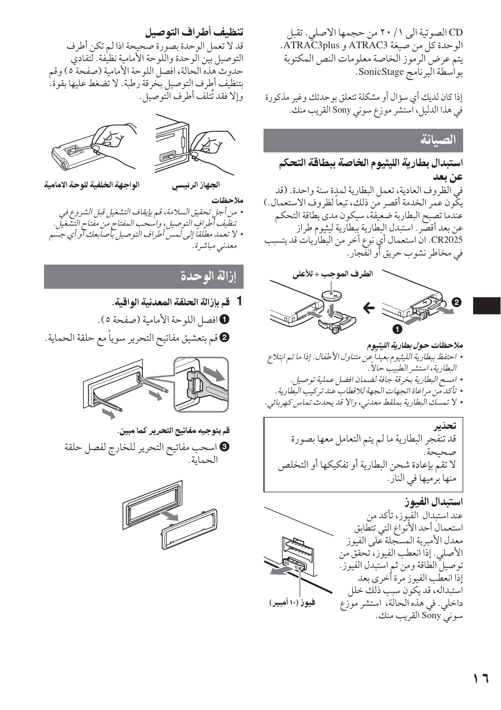CD الصوتية الى ١ / ٢٠ من حجمها الاصلي. تقبل الوحدة كل من صيغة ATRAC3 و ATRAC3plus. يتم عرض الرموز الخاصة معلومات النص المكتوبة بواسطة البرنامج SonicStage.

إذا كان لديك أي سؤال أو مشكلة تتعلق بوحدتك وغير مذكورة في هذا الدليل، استشر موزع سوني Sony القريب منك.

استبدال بطارية الليثيوم الخاصة ببطاقة التحكم عن بعد في الظروف العادية، تعمل البطارية لمدة سنة واحدة. (قد يكُّون عمر الخدمة أقصر من ذلك، تبعاً لظروف الاستعمال.) عندما تصبح البطاربة ضعيفة، سيكون مدى بطاقة التحكم عن بعد أقصر . استبدل البطارية ببطارية ليثيوم طراز CR2025. ان استعمال أي نوع آخر من البطاريات قد يتسبب في مخاطر نشوب حريق أو انفَّجار .



ملاحظات حول بطارية الليثيوم • احتفظ ببطارية الليثيوم بعيداً عن متناول الأطفال. إذا ما تم ابتلاع البطارية، استشر الطبيب حالاً .

- امسح البطارية بخرقة جافة لضمان افضل عملية توصيل.
- تأكد من مراعاة اتجهات الجهة للاقطاب عند تركيب البطارية .
- لا تمسك البطارية بملقط معدني، والا قد يحدث تماس كهربائي.

تحذير قد تنفجر البطارية ما لم يتم التعامل معها بصورة صحىحة. لا تقمُّ بإعادة شحن البطارية أو تفكيكها أو التخلص منها برميها في النار.

## استبدال الفيوز



تنظيف أطراف التوصيل قد لا تعمل الوحدة بصورة صحيحة اذا لم تكن أطرف التوصيل بين الوحدة واللوحة الأمامية نظيفة. لتفادي حدوث هذه الحالة، افصل اللوحة الأمامية (صفحة ٥) وقم بتنظيف أطرف التوصيل بخرقة رطبة. لا تضغط عليها بقوة. وإلا فقد تُتلف أطرف التوصيل.



الواجهة الخلفية للوحة الامامية

ملاحظات

الجهاز الرئيسي

• من أجل تحقيق السلامة، قم بإيقاف التشغيل قبل الشروع في تنظيف أطرافٍ التوصيل، واسحب المفتاح من مفتاح التشغيل. • لا تعمد مطلقاً إلى لمس أطراف التوصيل بأصابعك آو أي جسم معدنى مباشرة.

از الة اله حدة

1 قم بإزالة الحلقة المعدنية الواقية.

0 افصل اللوحة الأمامية (صفحة ٥). @قم بتعشيق مفاتيح التحرير سوياً مع حلقة الحماية.



قم بتوجيه مفاتيح التحرير كما مبين.

اسحب مفاتيح التحرير للخارج لفصل حلقة 9 الحماية.

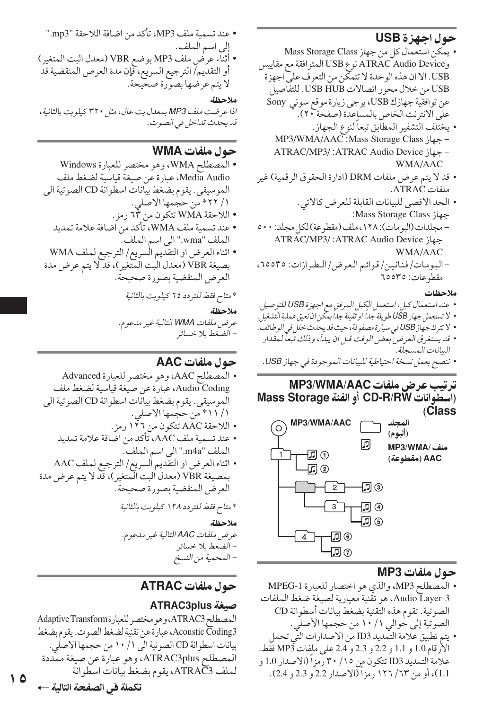## حول احهز ة USB

- يمكن استعمال كل من جهاز Mass Storage Class وATRAC Audio Device نوع USB المتوافقة مع مقاييس USB. الا ان هذه الوحدة لا تتمكَّن من التعرف على اجهزة USB من خلال محور اتصالات USB HUB. للتفاصيل عن توافقية جهازك USB، يرجى زيارة موقع سوني Sony على الانترنت الخاص بالمساعدة (صفحة ٢٠). • يختلف التشفير المطابق تبعاً لنوع الجهاز.
	- جهاز MP3/WMA/AAC :Mass Storage Class - جهاز ATRAC/MP3/:ATRAC Audio Device: WMA/AAC
- قد لا يتم عرض ملفات DRM (ادارة الحقوق الرقمية) غير ملفات ATRAC.
- الحد الاقصى للبيانات القابلة للعرض كالاتي. :Mass Storage Class - مجلدات (البومات): ١٢٨، ملف (مقطوعة) لكل مجلد: ٥٠٠ ATRAC/MP3/:ATRAC Audio Device ; WMA/AAC -البومات/ فنانين/ قوائم العرض/ الطرازات: ٦٥٥٣٥،
- مقطه عات: ٦٥٥٣٥

### ملاحظات

- عند استعمال كبل، استعمل الكِبل المرفقِ مع اجهزة USB للتوصيل.
- لا تستعمل جهاز USB طويلة جداً او ثَّقيلة جداً يمكن ان تعيق عملية التشغيلِّ.
- Y تترك جهاز USB في سيارة مصفوفة، حيث قد يحدث خلل في الوظائف . • قد يستغرق العرض بعض الوقت قبل ان يبدأ، وذلك تُبعاً لمقدار .<br>البيانات المسجلة .
- ننصح بعمل نسخة احتياطية للبيانات الموجودة في جهاز USB .

## ترتيب عرض ملفات MP3/WMA/AAC (اسْطُوانات CD-R/RW أَو الفئة Mass Storage (Class



## حول ملفات MP3

- المصطلح MP3، والذي هو اختصار للعبارة MPEG-1 Audio Layer-3، هو تقنية معيارية لصيغة ضغط الملفات الصوتية. تقوم هذه التقنية بضغط بيانات أسطوانة CD الصوتية إلى حوالي ١٠ / ١٠ من حجمها الأصلي.
- يتم تطبيق علامة التّمديد ID3 من الاصدارات التّي تحمل الأرقام 1.0 و 1.1 و 2.2 و 2.3 و 2.4 على ملفات MP3 فقط. علامة التمديد ID3 تتكون مِن ٢٠/ ٣٠ رمزا (الاصدار 1.0 و 1.1)، أو من ٦٣/ ١٢٦ رمزا (الاصدار 2.2 و 2.3 و 2.4).

• عند تسمية ملف MP3، تأكد من اضافة اللاحقة "mp3." إلى اسم الملف. • أثناء عرض ملف MP3 بوضع VBR (معدل البت المتغير ) أو التقديم/ الترجيع السريع، فإن مدة العرض المنقضية قد لا يتم عرضها بصوّرة صحيحة.

### ملاحظة

اذا عرضت ملف MP3 بمعدل بت عال، مثل ٣٢٠ كيلوبت بالثانية، قد يحدث تداخل في الصوت.

## حول ملفات WMA

- المصطلح WMA، وهو مختصر للعبارة Windows Media Audio، عبارة عن صيغة قياسية لضغط ملف الموسيقى. يقوم بضغط بيانات اسطوانة CD الصوتية الى ١/ ٢٢\* من حجمها الاصلي. • اللاحقة WMA تتكون من ٦٣ رمز.
	- عند تسمية ملف WMA، تأكد من اضافة علامة تمديد الملف "wma." الى اسم الملف.
- اثناء العرض او التقديم السريع/ الترجيع لملف WMA بصيغة VBR (معدل البت المتغير)، قد لا يتم عرض مدة العرض المنقضية بصورة صحيحة.
	- \* متاح فقط للتردد ٢٤ كيلوبت بالثانية

### ملاحظة

عرض ملفات WMA التالية غير مدعوم. – الضغط بلا خسائر

## حول ملفات AAC

- المصطلح AAC، وهو مختصر للعبارة Advanced Audio Coding، عبارة عن صيغة قياسية لضغط ملف الموسيقى. يقوم بضغط بيانات اسطوانة CD الصوتية الى ١ / ١١ \* من حجمها الاصلي.
	- اللاحقة AAC تتكون من ١٢٦ رمز.
	- عند تسمية ملف AAC، تأكد من اضافة علامة تمديد الملف "m4a." الى اسم الملف.
- اثناء العرض او التقديم السريع/ الترجيع لملف AAC بمصيغة VBR (معدل البت المتغير)، قد لا يتم عرض مدة العرض المنقضية بصورة صحيحة. \* متاح فقط للتردد ١٢٨ كيلوبت بالثانية ملاحظة عرض ملفات AAC التالية غير مدعوم.
	- الضغط بلا خسائر
		- المحمية من النسخ

## حول ملفات ATRAC

## صيغة ATRAC3plus

المصطلح ATRAC3، وهو مختصر للعبارة Adaptive Transform Acoustic Čoding3، عبارة عن تقنية لضغط الصوت. يقوم بضغط بيانات اسطوانة CD الصوتية الى ١/ ١٠ من حجمها الاصلي. المصطلح ATRAC3plus، وهو عبارة عن صيغة ممددة لملف ATRAČ3، يقوم بضغط بيانات اسطوانة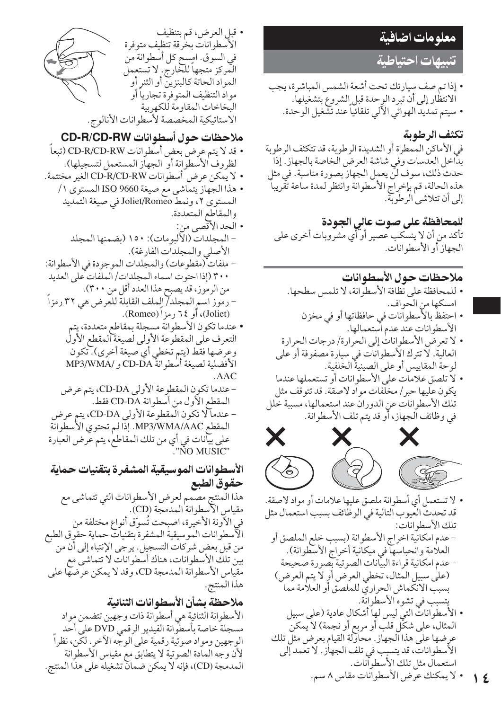## <mark>معلومات ا<u>ض</u>افية</mark>

تنبيهات احتىاطية

• إذا تم صف سيارتك تحت أشعة الشمس المباشرة، يجب الانتظار إلى أن تبرد الوحدة قبل الشروع بتشغيلها. • سيتم تمديد الهوائي الآلي تلقائياً عند تشغيل الوحدة.

## تكثف الرطوبة

في الأماكن الممطرة أو الشديدة الرطوبة، قد تتكثف الرطوبة بدَّاخل العدسات وفي شاشة العرض الخاصة بالجهاز. إذا حدث ذلك، سوف لنّ يعمل الجهاز بصورة مناسبة. في مثل هذه الحالة، قم بإخراج الأسطوانة وانتظر لمدة ساعة تقريباً إلى أن تتلاشى الرطوبة.

للمحافظة على صوت عالى الجودة تأكد من أن لا ينسكب عصير أو أي مشروبات أخرى على الجهاز أو الأسطوانات.

## ملاحظات حول الأسطوانات

- للمحافظة على نظافة الأسطوانة، لا تلمس سطحها. امسكها من الحواف.
- احتفظ بالأسطوانات في حافظاتها أو في مخزن الأسطو انات عند عدم آستعمالها.
- لا تعرض الأسطوانات إلى الحرارة/ درجات الحرارة العالية. لا تترك الأسطوانات في سيارة مصفوفة أو على لوحة المقاييس أو على الصينية الخلفية.
- لا تلصق علامات على الأسطوانات أو تستعملها عندما يكون عليها حبر / مخلفات مواد لاصقة. قد تتوقف مثل تلك الأسطوانات عن الدوران عند استعمالها، مسببة خلل في وظائف الجهاز، أَو قد يتم تلف الأسطوانة.



• لا تستعمل أي أسطوانة ملصق عليها علامات أو مواد لاصقة. قد تحدث العيوب التالية في الوظائف بسبب استعمال مثل تلك الأسطو انات: -عدم امكانية اخراج الأسطوانة (بسبب خلع الملصق أو العلامة وانحباسها في ميكانية أخراج الاسطوانة). –عدم امكانية قراءة البيّانات الصوتية بصورة صحيحة (على سبيل المثال، تخطي العرض أو لا يتم العرض) بسبب الانكماش الحراري للملصق أو العلامة مما يتسبب في تشوه الأسطوانّة. • الأسطوانات التي ليس لها أشكال عادية (على سبيل المثال، على شكَّل قلب أو مربع أو نجمة) لا يمكن عرضها على هذا الجهاز. محاولة القيام بعرض مثلّ تلك الأسطوانات، قد يتسبب في تلف الجهاز. لا تعمد إلى استعمال مثل تلك الأسطو أنات. • لا يمكنك عرض الأسطوانات مقاس ٨ سم.

١٤

لأن وجه المادة الصوتية لا يتطابق مع مقياس الأسطوانة المدمجة (CD)، فإنه لا يمكن ضمانٌ تشغيله على هذا المنتج.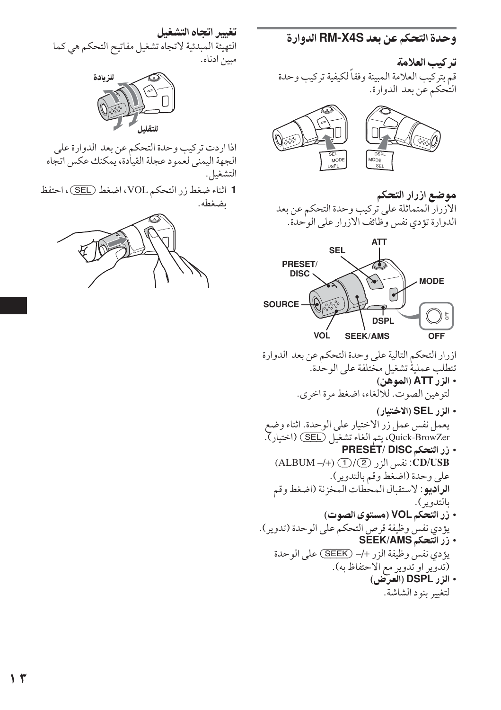## وحدة التحكم عن بعد RM-X4S الدوارة

تر كيب العلامة قم بتركيب العلامة المبينة وفقاً لكيفية تركيب وحدة التٰحكم عن بعد الدوارة.



موضع ازرار التحكم الأزرار المتماثلة على تركيب وحدة التحكم عن بعد الدوارة تؤدي نفس وطائف الازرار على الوحدة.



ازرار التحكم التالية على وحدة التحكم عن بعد الدوارة تتطلب عملية تشغيل مختلفة على الوحدة. • الزر ATT (الموهن) لتوهين الصوت. للالغاء، اضغط مرة اخرى.

- الزر SEL (الاختيار) يعمل نفس عمل زر الاختيار على الوحدة. اثناء وضع Quick-BrowZer، يتم الغاء تشغيل (SEL) (اختيار). • زر التحكم PRESET/ DISC
	- CD/USB: نفس الزر 2/(2) (ALBUM -/+) على وحدة (اضغط وقم بالتدوير). الراديو: لاستقبال المحطات المخزنة (اضغط وقم بالتدوير ).
- زر التحكم VOL (مستوى الصوت) يؤدي نفس وظيفة قرص التحكم على الوحدة (تدوير). • زر التحكم SEEK/AMS
	- يؤدي نفس وظيفة الزر +/– (SEEK) على الوحدة (تُدوّير او تُدوير مع الاحتفاظ به).
		- الزر DSPL (العرض) لتغيير بنود الشاشة.

## تغيير اتجاه التشغيل

التهيئة المبدئية لاتجاه تشغيل مفاتيح التحكم هي كما مبين ادناه.



اذا اردت تركيب وحدة التحكم عن بعد الدوارة على الجهة اليمني لعمود عجلة القيادة، يمكنك عكس اتجاه التشغيل.

1 اثناء ضغط زر التحكم VOL، اضغط (SEL)، احتفظ ىضغطە.

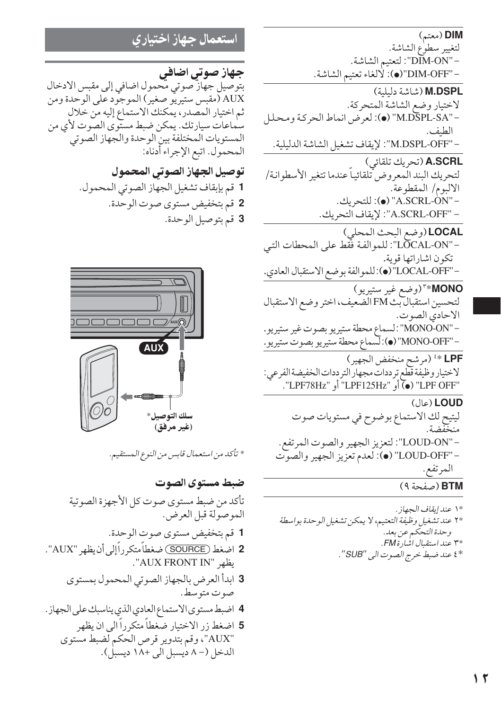DIM (معتم) لتغيير سطوع الشاشة. - "DIM-ON": لتعتيم الشاشة. - "DIM-OFF"(●): لالغاء تعتيم الشاشة. M.DSPL (شاشة دليلية) لاختيار وضع الشاشة المتحركة. - "M.DSPL-SA" (●): لعرض انماط الحركة ومحلل الطبف. -"M.DSPL-OFF": لإيقاف تشغيل الشاشة الدليلية. A.SCRL (تحريك تلقائي) لتحريك البند الّمعروض تلقائياً عندما تتغير الأسطوانة/ الالبوم/ المقطوعة. - "A.SCRL-ON" (●): للتحريك. - "A.SCRL-OFF": لإيقاف التحريك. LOCAL (وضع البحث المحلي) -"LOCAL-ON": للموالفة فَقَط على المحطات التي تكون اشاراتها قوية. -"LOCAL-OFF" (.):للموالفة بوضع الاستقبال العادي. MONO\*" (وضع غير ستيريو) لتحسين استقبال بث FM الضعيف، اختر وضع الاستقبال الاحادي الصوت. – "MONO-ON": لسماع محطة ستيريو بصوت غير ستيريو. − "MONO-OFF" (●):لسماع محطة ستيريو بصوت ستيريو . LPF \* (مرشح منخفض الجهير) لاختيار وظيفة قطع ترددات مجهار الترددات الخفيضة الفرعي: "LPF OFF" (•) أَو "LPF125Hz" أَو "LPF78Hz". (عال) LOUD ليتيح لك الاستماع بوضوح في مستويات صوت -"LOUD-ON": لتعزيز الجهير والصوت المرتفع. - "LOUD-OFF" (٠): لعدم تعزيز الجهير والصوت المرتفع. BTM (صفحة ٩)

استعمال جهاز اختيارى

جهاز صوتی اضافی بتوصيل جهاز صوتي محمول اضافي إلى مقبس الادخال AUX (مقبس ستيريو صغير) الموجود على الوحدة ومن ثم اختيار المصدر، يمكنك الاستماع إليه من خلال سٰماعات سیارتك. یمكن ضبط مستوى الصوت لأي من المستويات المختلفة بين الوحدة والجهاز الصوتى المحمول. اتبع الإجراء أدناه:

> توصيل الجهاز الصوتى المحمول 1 قم بإبقاف تشغيل الجهاز الصوتي المحمول. 2 قم بتخفيض مستوى صوت الوحدة. 3 قم بتوصيل الوحدة.



\* تأكد من استعمال قابس من النوع المستقيم.

ضبط مستوى الصوت تأكد من ضبط مستوى صوت كل الأجهزة الصوتية الموصولة قبل العرض. 1 قم بتخفيض مستوى صوت الوحدة. 2 اضغط (SOURCE) ضغطاً متكرراًإلى أن يظهر "AUX". يظهر "AUX FRONT IN". 3 ابدأ العرض بالجهاز الصوتي المحمول بمستوى صوت متوسط. 4 اضبط مستوى الاستماع العادي الذي يناسبك على الجهاز . 5 اضغط زر الاختبار ضغطاً متكرراً الى ان يظهر

"AUX"، وقم بتدوير قرص الحكم لضبط مستوى الدخل (– ۸ ديسبل الي +۱۸ ديسبل).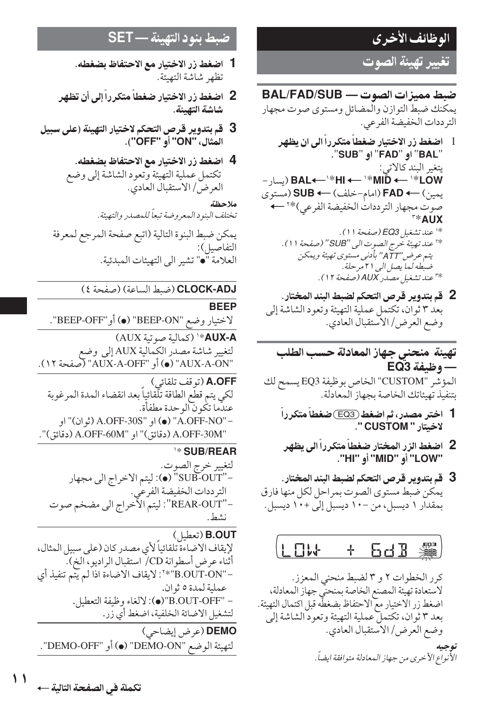## الوظائف الأخرى

تغيير تهيئة الصوت

ضبط ممبزات الصوت — BAL/FAD/SUB يمكنك ضبط التوازن والمضائل ومستوى صوت مجهار التر ددات الخفيضة الفر عي.

- 1- اضغط زر الاختيار ضغطاً متكرراً الى ان يظهر "BAL" او "FAD" او "SUB". يتغير البند كالاتي:<br>BAL←→\*HI → '\*MID → '\*LOW (يسار− يمين) ← FAD (امام-خلف) ← SUB (مستوى صوت مجهار الترددات الخفيضة الفرعي)\*` ←  $\mathbb{R}^*$  AllX \*' عند تشغيل EQ3 *(صفحة 1*1). \*' عند تهيئة خرج الصوت الى ''SUB'' (صفحة ١١) . يتم عرض "ATT" بأدنى مستوى تهيئة ويمكن ضبطه لما يصل الى ٢١ مرحلة . \*" عند تشغيل مصدر AUX (صفحة ١٢).
	- 2 \_ قم بتدوير قرص التحكم لضبط البند المختار . بعد ٣ ثوان، تكتمل عملية التهيئة وتعود الشاشة إلى وضع العرض/ الاستقبال العادي.

تهيئة منحنى جهاز المعادلة حسب الطلب - وظيفة EQ3 المؤشر "CUSTOM" الخاص بوظيفة EQ3 يسمح لك بتنفيذ تهيئاتك الخاصة بجهاز المعادلة.

- 1- اختر مصدر، ثم اضغط (EQ3)ضغطاً متكرراً لاخيتار " CUSTOM ".
- 2- اضغط الزر المختار ضغطاً متكرراً الى يظهر<br>"LOW" أو "HI" أو "MID" أل
- 3- قم بتدوير قرص التحكم لضبط البند المختار . يمكن ضبط مستوى الصوت بمراحل لكل منها فارق بمقدار ١ ديسبل، من -١٠ ديسبل إلى +١٠ ديسبل.



كرر الخطوات ٢ و ٣ لضبط منحنى المعزز. لاستعادة تهيئة المصنع الخاصة بمنحني جهاز المعادلة، اضغط زر الاختيار مع الاحتفاظ بضغطه قبل اكتمال التهيئة. بعد ٣ ثوان، تكتملُّ عملية التهيئة وتعودُّ الشاشة إلى وضع العرض/ الاستقبال العادي. الأَنواع الأخرى من جهاز المعادلة متوافقة ايضاً.

## ضبط بنه د التهيئة - SET

- 1- اضغط زر الاختيار مع الاحتفاظ بضغطه. تظهر شاشة التهئة.
- 2- اضغط زر الاختيار ضغطاً متكرراً إلى أن تظهر شاشة التهيئة.
- 3- قم بتدوير قرص التحكم لاختيار التهيئة (على سبيل المثال، "ON" أَو "OFF").
	- 4 اضغط زر الاختيار مع الاحتفاظ بضغطه. تكتمل عملية التهيئة وتعود الشاشة إلى وضع العرض/ الاستقبال العادي.

ملاحظة تختلف البنود المعروضة تبعاً للمصدر والتهيئة . يمكن ضبط البنوة التالية (اتبع صفحة المرجع لمعرفة التفاصيل):

العلامة "•" تشير الى التهيئات المبدئية.

## CLOCK-ADJ (ضبط الساعة) (صفحة ٤)

**RFFP** 

لاختيار وضع "BEEP-ON" (●) أو"BEEP-OFF". AUX-A\*' (كمالية صوتية AUX)

لتغيير شاشة مصدّر الكمّالية AUX إلى وضع<br>"AUX-A-ON" (●) أو "AUX-A-OFF" (صفحة ١٢).

A.OFF (توقف تلقائي) لكي يتم قطع الطاقة تلّقائياً بعد انقضاء المدة المرغوبة عندَّما تكْوِنَّ الوحدة مطفأة. − "A.OFF-NO" (●) او "A.OFF-30S (ثوان)" او "A.OFF-30M (دقائق)" او "A.OFF-60M (دقائق)".

## **\\*SUB/REAR**

لتغيير خرج الصوت. -"SUB-OUT" (●): ليتم الاخراج الى مجهار الترددات الخفيضة الفرعي. -"REAR-OUT": ليتم الآخراج الي مضخم صوت نشط.

B.OUT (تعطيل) لإيقاف الاضاءة تلقائياً لأي مصدر كان (على سبيل المثال، أثناء عرض أسطوانة CD/ استقبال الراديو ، الخ). -"B.OUT-ON"\*": لايقاف الاضاءة اذا لم يتم تنفيذ أي عملية لمدة ٥ ثوان. - "B.OUT-OFF"(●): لالغاء وظيفة التعطيل. لتشغيل الاضائة الخلفية، اضغط أي زر. DEMO (عرض إيضاحي) لتهيئة الوضع "DEMO-ON" (●) أو "DEMO-OFF".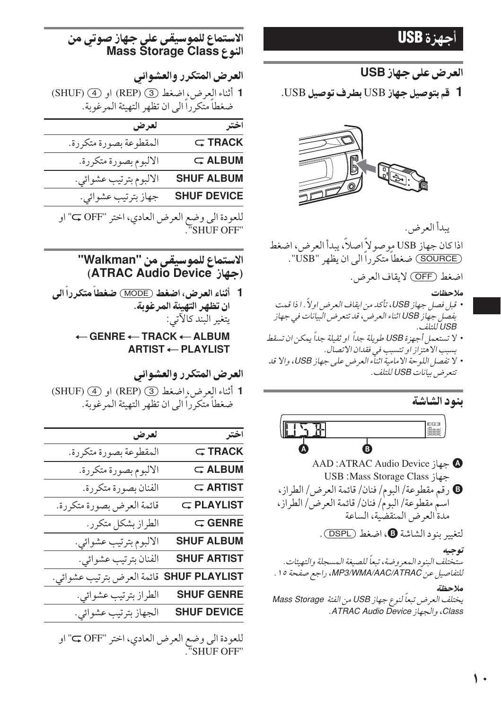## أحصن ة USB

## العرض على جهاز USB

1 قم بتوصيل جهاز USB بطرف توصيل USB.



يبدأ العرض. اذا كان جهاز USB موصو لاً اصلاً، يبدأ العرض، اضغط (SOURCE) ضغطاً متكرراً الى ان يظهر "USB".

اضغط (OFF) لايقاف العرض.

### ملاحظات

- قبل فصل جهاز USB، تأكد من ايقاف العرض اولاً . ا ذا قمت بفصل جهاز USB اثناء العرض، قد تتعرض البيانات في جهاز USB للتلف
- لا تستعمل أجهزة USB طويلة جداً او ثقيلة جداً يمكن ان تسقط بسبب الاهتزاز او تتسبب في فقدان الاتصال.
- لا تفصل اللوحة الامامية اثناء العرض على جهاز USB، والا قد تتعرض بيانات USB للتلف.

## بنود الشاشة



▲ جهاز AAD :ATRAC Audio Device USB :Mass Storage Class ; **0** رقم مقطوعة/ البوم/ فنان/ قائمة العرض/ الطراز، اسم مقطوعة/ البوم/ فنان/ قائمة العرض/ الطراز، مدة العرض المنقضية، الساعة

لتغيير بنود الشاشة @، اضغط (DSPL).

## توجيه

ستختلف البنود المعروضة، تبعاً للصيغة المسجلة والتهيئات. للتفاصيل عن MP3/WMA/AAC/ATRAC، راجع صفحة ١٥ .

## ملاحظة

يختلف العرض تبعاً لنوع جهاز USB من الفئة Mass Storage Class، والجهاز ATRAC Audio Device.

## الاستماع للموسيقى على جهاز صوتى من **Mass Storage Class النوع**

العرض المتكرر والعشوائي

1 أثناء العرض، اضغط (3) (REP) او (4) SHUF) ضغطاً متكرِّراً الى ان تظهر التهيئة المرغوية.

| اختر               | لعرض                   |
|--------------------|------------------------|
| $\subset$ TRACK    | المقطوعة بصورة متكررة. |
| $\subset$ ALBUM    | الالبوم بصورة متكررة.  |
| <b>SHUF ALBUM</b>  | الالبوم بترتيب عشوائي. |
| <b>SHUF DEVICE</b> | جهاز بترتيب عشوائي.    |
|                    |                        |

للعودة الى وضع العرض العادي، اختر "OFF" او "SHUF OFF"

## الاستماع للموسيقى من "Walkman" (جهاز ATRAC Audio Device)

1 أثناء العرض، اضغط (MODE) ضغطاً متكرراً الى ان تظهر التهيئة المرغوبة. يتغير البند كالآتي:  $\leftarrow$  GENRE  $\leftarrow$  TRACK  $\leftarrow$  ALBUM

**ARTIST ← PLAYLIST** 

## العرض المتكرر والعشوائي

1 أثناء العرض، اضغط (3) (REP) او (4) SHUF) ضغطاً متكرراً الى ان تظهر التهيئة المرغوبة.

| ختر                  | لعرض                       |
|----------------------|----------------------------|
| $\subset$ TRACK      | المقطوعة بصورة متكررة.     |
| $\subsetneq$ ALBUM   | الالبوم بصورة متكررة.      |
| $\subset$ ARTIST     | الفنان بصورة متكررة.       |
| <b>G</b> PLAYLIST    | قائمة العرض بصورة متكررة.  |
| $\subset$ GENRE      | الطراز بشكل متكرر.         |
| <b>SHUF ALBUM</b>    | الالبوم بترتيب عشوائي.     |
| <b>SHUF ARTIST</b>   | الفنان بترتيب عشوائي.      |
| <b>SHUF PLAYLIST</b> | قائمة العرض بترتيب عشوائي. |
| <b>SHUF GENRE</b>    | الطراز بترتيب عشوائي.      |
| <b>SHUF DEVICE</b>   | الجهاز بترتيب عشوائي.      |
|                      |                            |

للعودة الى وضع العرض العادي، اختر "OFF ب" او "SHUF OFF"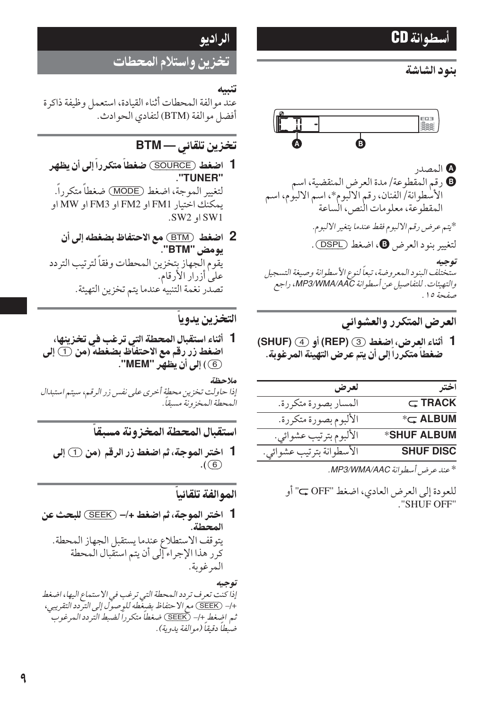## أسطوانة CD

## بنود الشاشة



المصدر **0** رقم المقطوعة/مدة العرض المنقضية، اسم الأسطوانة/الفنان، رقم الالبوم\*، اسم الالبوم، اسم المقطوعة، معلو مات النص، الساعة \*يتم عرض رقم الالبوم فقط عندما يتغير الالبوم. لتغيير بنود العرض @، اضغط (DSPL).

توجيه

مىتّختلف البنو د الـمعروضة، تبعاً لنوع الأسطوانة وصيغة التسجيل والتهيئات. للتفاصيل عن أسطوانة MP3/WMA/AAC، راجع صفحة 10.

## العرض المتكرر والعشوائى

1 أثناء العرض، اضغط GEP) (@ (SHUF) أو (4) ضغطاً متكرراً إلى أن يتم عرض التهيئة المرغوبة.

| اخت              | لعرض                     |
|------------------|--------------------------|
| $\subset$ TRACK  | المسار بصورة متكررة.     |
| $*\subset$ ALBUM | الألبوم بصورة متكررة.    |
| *SHUF ALBUM      | الألبوم بترتيب عشوائي.   |
| <b>SHUF DISC</b> | الأسطوانة بترتيب عشوائي. |

\* عند عرض أسطوانة MP3/WMA/AAC.

للعودة إلى العرض العادي، اضغط "OFF ب" أو ."SHUF OFF"

## الراديو

تخزين واستلام المحطات

عند مو الفة المحطات أثناء القيادة، استعمل وظيفة ذاكرة أفضل مو الفة (BTM) لتفادي الحو ادث.

## تخزين تلقائي — BTM

- 1- اضغط (SOURCE) ضغطاً متكرراً إلى أن يظهر "TUNER" لتغيير الموجة، اضغط (MODE) ضغطاً متكرراً. يمكنك اختيار FM1 او FM2 او FM3 او MW او SW2 او SW2.
- 2 اضغط (BTM) مع الاحتفاظ بضغطه إلى أن يو مض "BTM". يقوم الجهاز بتخزين المحطات وفقاً لترتيب التردد على أزرار الأرقام. تصدر نغمة التنبيه عندما يتم تخزين التهيئة.

## التخزين يدويا

1- أثناء استقبال المحطة التى ترغب في تخزينها، اضغط زر رقم مع الاحتفآظ بضغطه (من ① إل*ى* 6) إلى أن يظهر "MEM".

ملاحظة إذا حاولت تخزين محطة أخرى على نفس زر الرقيه، سيتيه استبدال المحطة المخزونة مسبقا.

استقبال المحطة المخز ونة مسبقاً

1 اختر الموجة، ثم اضغط زر الرقم (من ① إلى  $.$  (6)

## الموالفة تلقائيا

1 اختر الموجة، ثم اضغط +/- (SEEK) للبحث عن المحطة. يتوقف الاستطلاع عندما يستقبل الجهاز المحطة. كرَّر هذا الإجراء إلى أن يتم استقبال المحطة المرغوبة.

### توجيه

. .<br>إذا كنت تعرف تردد المحطة التي ترغب في الا ستماع اليها، اضغط<br>+/– (SEEK) مع الا حتفاظ بضٍغطه للدٍ صول إلى التردد التقريبي، ثم اضغط +/– (SEEK) ضغطاً متكرراً لضبط التردد المرغوب ً ضبطاً دقيقاً (موالفة يدوية).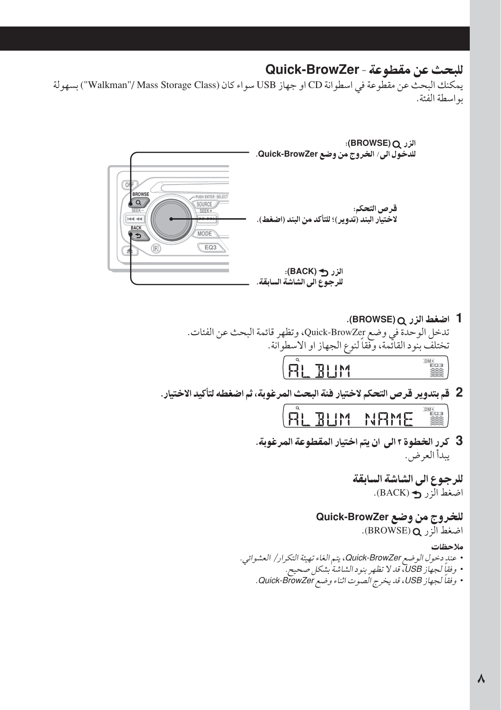## للبحث عن مقطوعة - Quick-BrowZer

يمكنك البحث عن مقطوعة في اسطوانة CD او جهاز USB سواء كان (Walkman''/ Mass Storage Class'') بسهولة به اسطة الفئة.



1 اضغط الزر Q (BROWSE). تدخل الوحدة في وضع Quick-BrowZer، وتظهر قائمة البحث عن الفئات. تختلف بنود القائمة، وفقاً لنوع الجهاز او الاسطوانة.

**AL BUM**  $\begin{array}{r}\n\hline\n\text{DM} \cdot \text{H} \\
\hline\n\text{H} \cdot \text{H} \cdot \text{H} \\
\hline\n\text{H} \cdot \text{H} \cdot \text{H} \cdot \text{H} \cdot \text{H} \cdot \text{H} \cdot \text{H} \cdot \text{H} \cdot \text{H} \cdot \text{H} \cdot \text{H} \cdot \text{H} \cdot \text{H} \cdot \text{H} \cdot \text{H} \cdot \text{H} \cdot \text{H} \cdot \text{H} \cdot \text{H} \cdot \text{H} \cdot \text{H} \cdot \text{H} \cdot \text{H} \cdot \text{H} \$ 

2 قم بتدوير قرص التحكم لاختيار فئة البحث المرغوبة، ثم اضغطه لتأكيد الاختيار .

|  | <b>RLBUM</b> |  | NRME |  |  |
|--|--------------|--|------|--|--|
|  |              |  |      |  |  |

3- كرر الخطوة ٢ الى ان يتم اختيار المقطوعة المرغوبة. يبدأ العرض.

> للرجوع الى الشاشة السابقة اضغط الزر ک (BACK).

للخروج من وضع Quick-BrowZer اضغط الزر BROWSE) O.

### ملاحظات

• عندِ دخول الوضع Quick-BrowZer، يتم الغاء تهيئة التكرار/ العشوائي. • وفقاً لجهاز USB، قدلا تظهر بنود الشاشة بشكل صحيح. • وفقاً لجهاز USB، قد يخرج الصوت اثناء وضع Quick-BrowZer.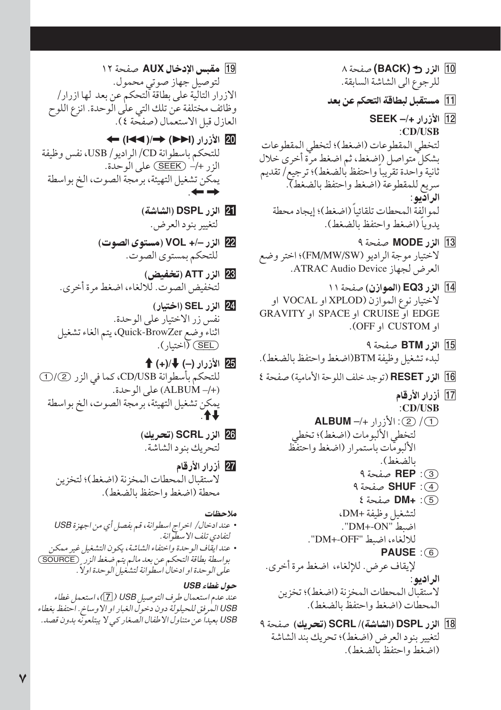- 10 الزر 3 (BACK) صفحة ٨ للرجوع الى الشاشة السابقة.
- [1] مستقبل لبطاقة التحكم عن بعد
- 12 الأزرار +/- SEEK :CD/USB لتخطى المقطوعات (اضغط)؛ لتخطى المقطوعات بشكلٌ متواصل (اضغط، ثم اضغط مرَّة أخرى خلال ثانية واحدة تقريباً واحتفظ بالضغط)؛ ترجيع/ تقديم سريع للمقطوعة (اضغط واحتفظ بالضغط). الر ادّيو : لموالفة المحطات تلقائباً (اضغط)؛ إيجاد محطة يدوياً (اضغط واحتفظ بالضغط).
- 13 الزر MODE صفحة ٩ لاختيار موجة الراديو (FM/MW/SW)؛ اختر وضع العرض لجهاز ATRAC Audio Device.
- 14 الزر EQ3 (الموازن) صفحة ١١ لاختيار نوع الموازن (XPLOD او VOCAL او EDGE او CRUISE او SPACE او SPACE او او CUSTOM او OFF).
- 15 الزر BTM صفحة ٩ ليدء تشغيل وظيفة BTM(اضغط واحتفظ بالضغط).
- 16 الزر RESET (توجد خلف اللوحة الأمامية) صفحة ٤
	- 17] أزرار الأرقام
	- $:CD/USB$ 1 (2) (2): الأزرار +/- ALBUM لتخطى الألبومات (اضغط)؛ تخطى الألبومات باستمرار (اضغط واحتفظ بالضغط). (3): REP صفحة ٩
		- (4): **SHUF** صفحة ٩
		- (5): +DM صفحة } لتشغيل وظيفة +DM. اضبط "DM+-ON".
			- للالغاء، اضبط "DM+-OFF".
	- **PAUSE** : (6) لإيقاف عرض. للإلغاء، اضغط مرة أخرى. الراديو : لاستقبال المحطات المخزنة (اضغط)؛ تخزين المحطات (اضغط واحتفظ بالضغط).
- 18] الزر DSPL (الشاشة)/ SCRL (تحريك) صفحة ٩ لتغيير بنود العرض (اضغط)؛ تحريك بند الشاشة (اضغط واحتفظ بالضغط).
- 19 مقبس الإدخال AUX صفحة ١٢ لتوصيل جهاز صوتي محمول. الازرار التالية على بطاقة التحكم عن بعد لها ازرار/ وظائف مختلفة عّن تلك التي على الّوحدة. انزع اللوح العازل قبل الاستعمال (صفحة ٤).
- 20 الأزرار (1→() ←/() → للتحكم باسطو انة CD/ الراديو / USB، نفس وظيفة  $\left( \frac{1}{2} + \frac{1}{2} + \frac{1}{2} \right)$ على الوحدة. يمكن تشغيل التهيئة، برمجة الصوت، الخ بو اسطة  $\leftrightarrow$ 
	- [2] الزر DSPL (الشاشة) لتغيير بنود العرض.
	- 22 الزر -/+ VOL (مستوى الصوت) للتحكم بمستوى الصوت.
	- 28 الزر ATT (تخفيض) لتخفيض الصوت. للالغاء، اضغط مرة أخرى.
	- 24 الزر SEL (اختيار) نفس زر الاختبار على الوحدة. اثناءً وضع Quick-BrowZer، يتم الغاء تشغيل (SEL) (اختيار ).
- 25 الأزرار (-) ♦ /(+) ♦ للتحكم بأسطوانة CD/USB، كما في الزر (2) (D (+/- ALBUM) على الوحدة. يمكن تشغيل التهيئة، برمجة الصوت، الخ بو اسطة
	- 26 الزر SCRL (تحريك) لتحريك بنود الشاشة.
	- 27 أزرار الأرقام لاستقبال المحطات المخزنة (اضغط)؛ لتخزين محطة (اضغط واحتفظ بالضغط).
	- ملاحظات • عند ادخال/ اخراج اسطوانة، قم بفصل أي من اجهزة USB
- لتفادي تلف الإسطوانة . • عند ايقاف الوحدة واختفاء الشاشة، يكون التشغيل غير ممكن بواسطة بطاقة التحكم عن بعد مالم يتم ضغط الزر \_ (SOURCE) على الو حدة او ادخال اسطوانة لتشغيل الو حدة اولاً .

حول غطاء USB عند عدم استعمال طرف التو صيل USB ( [7])، استعمل غطاء USB المرفق للحيلولة دون دخول الغبار او الاوساخ. احتفظ بغطاء USB بعيداً عن متناول الا طفال الصغار كبي لا يبتلعونه بدون قصد.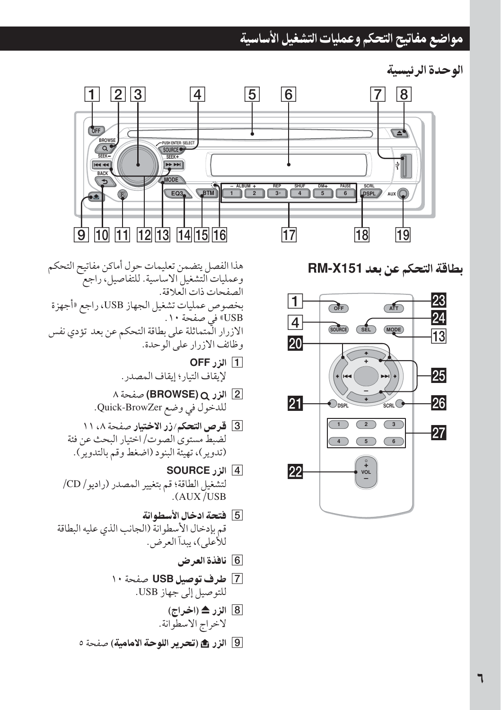## مواضع مفاتيح التحكم وعمليات التشغيل الأساسية

الوحدة الرئيسية



بطاقة التحكم عن بعد RM-X151



هذا الفصل يتضمن تعليمات حول أماكن مفاتيح التحكم وعمليات التشغيل الاساسية. للتّفاصيل، راجع الصفحات ذات العلاقة. بخصوص عمليات تشغيل الجهاز USB، راجع «أجهزة USB» في صفحة ١٠. الازرار المتماثلة على بطاقة التحكم عن بعد تؤدي نفس وظائف الازرار على الوحدة.

- **OFF** الزرOFF لإيقاف التبار ؛ إيقاف المصدر .
- 2 الزر Q (BROWSE) صفحة ٨ للدخول في وضع Quick-BrowZer.
- 3 قرص التحكم/زر الاختيار صفحة ٨، ١١ لضبط مستوى الصوت/ اختيار البحث عن فئة (تدوير)، تهيئة البنود (اضغط وقم بالتدوير).
- ¶ الزر SOURCE لتشغيل الطاقة؛ قم بتغيير المصدر (راديو/ CD/  $(AUX/USB)$
- [5] فتحة ادخال الأسطوانة قم بإدخال الأسطوانة (الجانب الذي عليه البطاقة للأعلى)، يبدآ العرض.
	- [6] نافذة العرض
	- 7 طرف توصيل USB صفحة ١٠ للتوصيل إلى جهاز USB.
		- 8 الزر ≜ (اخراج) لاخراج الاسطوانة.
	- 9 الزر � (تحرير اللوحة الامامية) صفحة ٥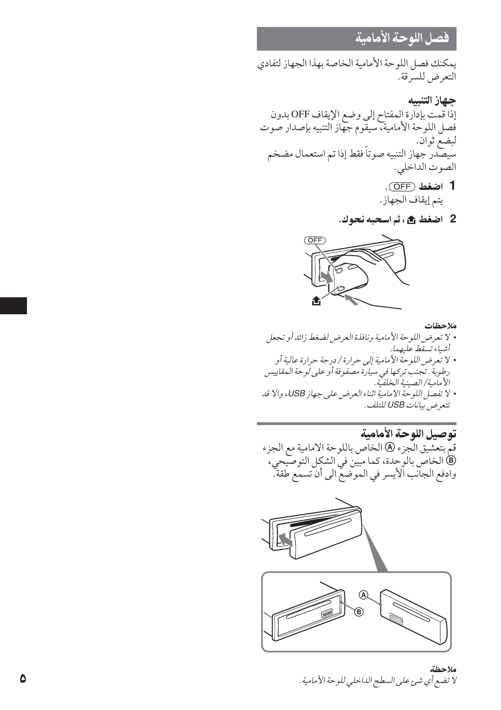## فصل اللوحة الأمامية

يمكنك فصل اللوحة الأمامية الخاصة بهذا الجهاز لتفادى التعرض للسرقة.

حهاز التنسه إذا قمت بإدارة المفتاح إلى وضع الإيقاف OFF بدون فصل اللوحة الأمامية، سيقوم جهاز التنبيه بإصدار صوت لبضع ثوان. .<br>سيصدر جهاز التنبيه صوتاً فقط إذا تم استعمال مضخم الصّوت الداخلي. 1 اضغط (OFF).

- يتم إيقاف الجهاز.
- 2 اضغط ش، ثم اسحبه نحوك.



- ملاحظات
- لا تعرض اللوحة الأمامية ونافذة العرض لضغط زائد أو تجعل أشياء تسقط عليهما.
- لا تعرض اللوحة الأمامية إلى حرارة/ درجة حرارة عالية أو رطوبة. تجنب تركها في سيارة مصفوفة أو على لوحة المقاييس الأمامية/الصينية الخلفية.
- لا تفصل اللوحة الامامية اثناء العرض على جهاز USB، والا قد تتعرض بيانات USB للتلف.

توصيل اللوحة الأمامية قمَّ بتعشَّيق الَّجزء @ الخاص باللوحة الامامية مع الجزء ).<br>@ الخاص بالوحدة، كما مبين في الشكل التوصيحي، وادفع الجانب الأيسر في الموضع الى أن تسمع طقة.





ملاحظة لا تضع أي شيئ على السطح الداخلي للوحة الأمامية .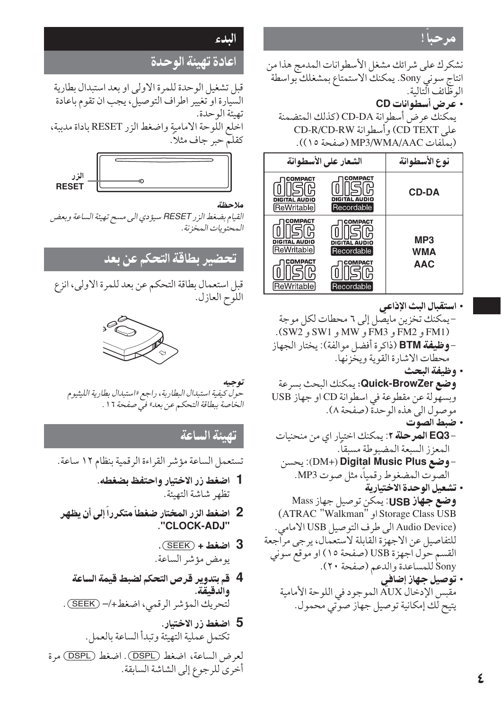مرجبا!

نشكرك على شرائك مشغل الأسطوانات المدمج هذا من انتاج سوني Sony. يمكنك الاستمتاع بمشغلك بواسطة الو ظائف التالية. • عرض أسطوانات CD

يمكنك عرض أسطوانة CD-DA (كذلك المتضمنة على CD TEXT) وأسطوانة CD-R/CD-RW (بملَّفات MP3/WMA/AAC (صفحة ١٥)).

| الشعار على الأسطوانة                          | نوع الأسطوانة                                 |              |  |
|-----------------------------------------------|-----------------------------------------------|--------------|--|
| COMPACT<br>DIGITAL AUDIO<br>ReWritable        | COMPACT<br>DIGITAL AUDIO<br>Recordable        | <b>CD-DA</b> |  |
| COMPACT<br>DIGITAL AUDIO<br><b>ReWritable</b> | COMPACT<br><b>DIGITAL AUDIO</b><br>Recordable | MP3<br>WMA   |  |
| COMPACT<br>ReWritable                         | COMPACT<br>Recordable                         | <b>AAC</b>   |  |

- استقبال البث الإذاعي
- -يمكنك تخزين مايصل إلى ٦ محطات لكل موجة (FM1 و FM2 و FM3 و MW و SW1 و SW2). – **وظيفة BTM** (ذاكرة أفضل موالفة): يختار الجهاز محطات الإشارة القوية ويخَّزنها.
	- وظيفة البحث
- **وضع Quick-BrowZer:** يمكنك البحث بسرعة وبسهولة عن مقطوعة في اسطوانة CD او جهاز USB موصول الى هذه الوحدة (صفحة ٨). • ضبط الصوت
- –EQ3 ا**لمرحلة ٢**: يمكنك اختيار اي من منحنيات المعزز السبعة المضبوطة مسبقا.
- -**وضع DM+) Digital Music Plus)**: يحسن الصوت المضغوط رقمياً، مثل صوت MP3.
- تشعيل الوحدة الاختبارية **وضع جهاز USB**: يمكن توصيل جهاز Mass (ATRAC "Walkman" او Storage Class USB (Audio Device الى طرف التوصيل USB الامامى. للتفاصيل عن الاجهزة القابلة لاستعمال، يرجى مراجعة القسم حول اّجهزة USB (صفحة ١٥) او موقع سوني Sony للمساعدة والدعم (صفحة ٢٠).
	- توصیل جهاز إضافي مقبس الإدخال AUX الموجود في اللوحة الأمامية يتيح لك إمكانية توصيل جهاز صوتي محمول.

## البدء

## اعادة تهبئة الوحدة

قبل تشغيل الوحدة للمرة الاولى او بعد استبدال بطارية السَّيارة او تغيير اطراف التوصيل، يجب ان تقوم باعادة تهيئة الو حدة. اخلع اللَّهِ حة الامامية واضغط الزر RESET باداة مدببة، كقلَّم حبرٌ جاف مثلاً.



## ملاحظة

القيام بضغط الزر RESET سيؤدي الى مسح تهيئة الساعة وبعض المحتويات المخزنة.

## <mark>تحضير</mark> بطاقة التحكم <u>عن</u> بعد

قبل استعمال بطاقة التحكم عن بعد للمرة الاولى، انزع اللوَّح العازل.



### توجيه حول كيفية استبدال البطاربة، راجع «استبدال بطارية الليثيوم الخاصة ببطاقة التحكم عن بعد» في صفحة ١٦ .

## تصئة الساعة

تستعمل الساعة مؤشر القراءة الرقمية بنظام ١٢ ساعة.

- 1 اضغط زر الاختيار واحتفظ بضغطه. تظهر شاشة التهيئة.
- 2- اضغط الزر المختار ضغطاً متكرراً إلى أن يظهر "CLOCK-ADJ"
	- $\sqrt{\text{SEEK}}$  اضغط +  $\sqrt{3}$ يومض مؤشر الساعة.
- 4 قم بتدوير قرص التحكم لضبط قيمة الساعة والدقيقة. لتحريك المؤشر الرقمي، اضغط+/– (SEEK) .
- 5 اضغط زر الاختىار. تكتمل عملية التهيئة وتبدأ الساعة بالعمل.

لعرض الساعة، اضغط (DSPL). اضغط (DSPL) مرة أخرى للرجوع إلى الشاشة السابقة.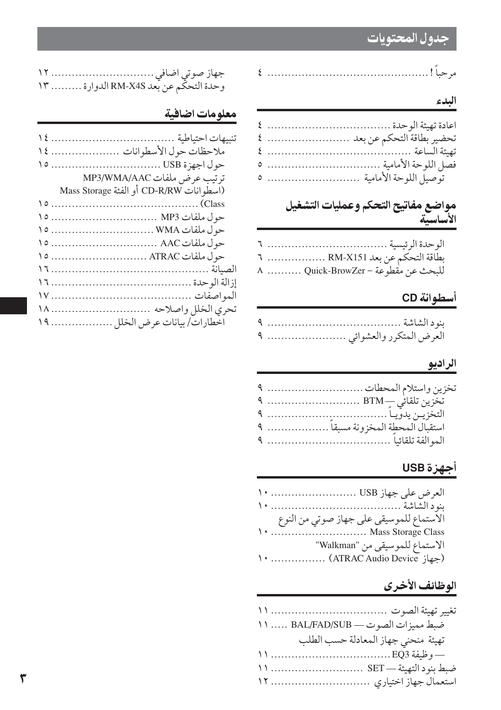## جدول المحتويات

## البدء

| توصيل اللوحة الأمامية  ٥ |
|--------------------------|

## مواضع مفاتيح التحكم وعمليات التشغيل الأساسية

| بطاقة التحكم عن بعد RM-X151  ٦     |
|------------------------------------|
| للبحث عن مقطوعة – Quick-BrowZer  ٨ |

## أسطوانة CD

|  | العرض المتكرر والعشوائي  ٩ |
|--|----------------------------|

## الراديو

| تخزين واستلام المحطات  ٩         |
|----------------------------------|
|                                  |
|                                  |
| استقبال المحطة المخزونة مسبقا  ٩ |
|                                  |

## <mark>أجهزة</mark> USB

| الاستماع للموسيقى على جهاز صوتي من النوع |  |
|------------------------------------------|--|
| Mass Storage Class                       |  |
| الاستماع للموسيقى من "Walkman"           |  |
| مجهاز "ATRAC Audio Device)  ١٠           |  |

## الوظائف الأخرى

| ضبط مميزات الصوت - BAL/FAD/SUB  ١١  |
|-------------------------------------|
| تهيئة منحنى جهاز المعادلة حسب الطلب |
| — وظيفة EQ3.  11                    |
|                                     |
|                                     |

|  | وحدة التحكّم عن بعد RM-X4S الدوارة  ١٣ |  |
|--|----------------------------------------|--|

## معلومات اضافية

| ملاحظات حول الأسطوانات  ١٤              |
|-----------------------------------------|
|                                         |
| ترتيب عرض ملفات MP3/WMA/AAC             |
| (اسطوانات CD-R/RW أو الفئة Mass Storage |
|                                         |
| حول ملفات MP3  NP3                      |
|                                         |
|                                         |
|                                         |
|                                         |
|                                         |
|                                         |
| تحري الخلل واصلاحه  ١٨                  |
| اخطارات/ بيانات عرض الخلل  ١٩           |
|                                         |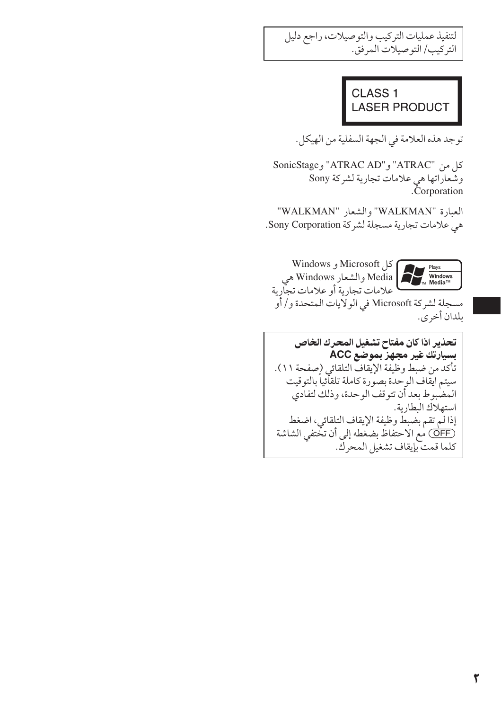لتنفيذ عمليات التركيب والتوصيلات، راجع دليل التركيب/ التوصيلات المرفق.

## CLASS<sub>1</sub> **LASER PRODUCT**

توجد هذه العلامة في الجهة السفلية من الهيكل.

كل من "ATRAC " و"ATRAC AD" و SonicStage وشّعاراتها هي علامات تجارية لشركة Sony<br>Corporation.

العبارة "WALKMAN" والشعار "WALKMAN" هي علامات تجارية مسجلة لشركة Sony Corporation.



**Nicrosoft** و Windows Media والشعار Windows هي<br>علامات تجارية أو علامات تجارية

مسجلة لشركة Microsoft في الولايات المتحدة و/ أو ىلدان أخرى.

تحذير اذا كان مفتاح تشغيل المحرك الخاص بسيارتك غير مجهز بموضّع ACC تأكد من ضبط وظيفة الإيقاف التلقائي (صفحة ١١). سيتم ايقاف الوحدة بصورة كاملة تلقائياً بالتوقيت المضبوط بعد أن تتوقف الوحدة، وذلك لتفادي استهلاك البطارية. إذالم تقم بضبط وظيفة الإيقاف التلقائي، اضغط (OFF) مع الاحتفاظ بضغطه إلى أن تختفي الشاشة كلما قمت بإيقاف تشغيل المحركي.